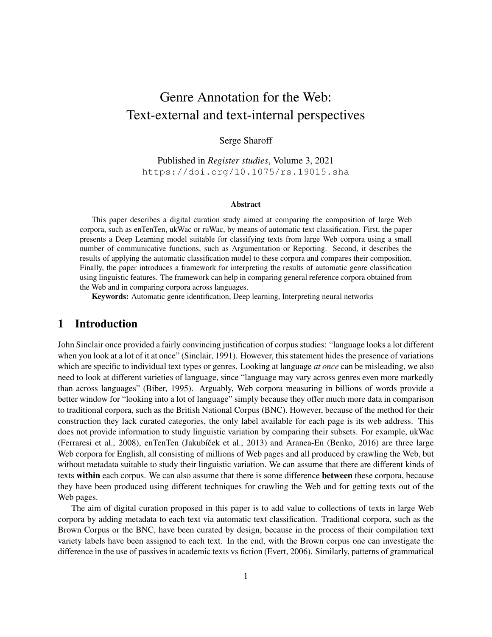# Genre Annotation for the Web: Text-external and text-internal perspectives

### Serge Sharoff

Published in *[Register studies](https://benjamins.com/catalog/rs)*, Volume 3, 2021 <https://doi.org/10.1075/rs.19015.sha>

#### Abstract

This paper describes a digital curation study aimed at comparing the composition of large Web corpora, such as enTenTen, ukWac or ruWac, by means of automatic text classification. First, the paper presents a Deep Learning model suitable for classifying texts from large Web corpora using a small number of communicative functions, such as Argumentation or Reporting. Second, it describes the results of applying the automatic classification model to these corpora and compares their composition. Finally, the paper introduces a framework for interpreting the results of automatic genre classification using linguistic features. The framework can help in comparing general reference corpora obtained from the Web and in comparing corpora across languages.

Keywords: Automatic genre identification, Deep learning, Interpreting neural networks

## 1 Introduction

John Sinclair once provided a fairly convincing justification of corpus studies: "language looks a lot different when you look at a lot of it at once" [\(Sinclair, 1991\)](#page-22-0). However, this statement hides the presence of variations which are specific to individual text types or genres. Looking at language *at once* can be misleading, we also need to look at different varieties of language, since "language may vary across genres even more markedly than across languages" [\(Biber, 1995\)](#page-20-0). Arguably, Web corpora measuring in billions of words provide a better window for "looking into a lot of language" simply because they offer much more data in comparison to traditional corpora, such as the British National Corpus (BNC). However, because of the method for their construction they lack curated categories, the only label available for each page is its web address. This does not provide information to study linguistic variation by comparing their subsets. For example, ukWac [\(Ferraresi et al., 2008\)](#page-20-1), enTenTen (Jakubíček et al., 2013) and Aranea-En [\(Benko, 2016\)](#page-19-0) are three large Web corpora for English, all consisting of millions of Web pages and all produced by crawling the Web, but without metadata suitable to study their linguistic variation. We can assume that there are different kinds of texts within each corpus. We can also assume that there is some difference between these corpora, because they have been produced using different techniques for crawling the Web and for getting texts out of the Web pages.

The aim of digital curation proposed in this paper is to add value to collections of texts in large Web corpora by adding metadata to each text via automatic text classification. Traditional corpora, such as the Brown Corpus or the BNC, have been curated by design, because in the process of their compilation text variety labels have been assigned to each text. In the end, with the Brown corpus one can investigate the difference in the use of passives in academic texts vs fiction [\(Evert, 2006\)](#page-20-3). Similarly, patterns of grammatical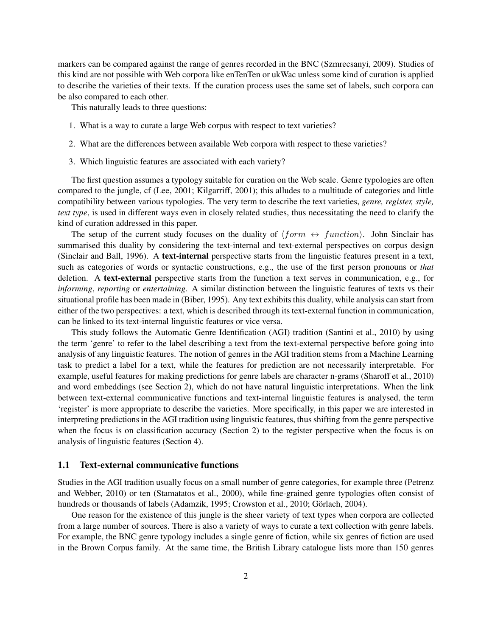markers can be compared against the range of genres recorded in the BNC [\(Szmrecsanyi, 2009\)](#page-22-1). Studies of this kind are not possible with Web corpora like enTenTen or ukWac unless some kind of curation is applied to describe the varieties of their texts. If the curation process uses the same set of labels, such corpora can be also compared to each other.

This naturally leads to three questions:

- 1. What is a way to curate a large Web corpus with respect to text varieties?
- 2. What are the differences between available Web corpora with respect to these varieties?
- 3. Which linguistic features are associated with each variety?

The first question assumes a typology suitable for curation on the Web scale. Genre typologies are often compared to the jungle, cf [\(Lee, 2001;](#page-21-0) [Kilgarriff, 2001\)](#page-21-1); this alludes to a multitude of categories and little compatibility between various typologies. The very term to describe the text varieties, *genre, register, style, text type*, is used in different ways even in closely related studies, thus necessitating the need to clarify the kind of curation addressed in this paper.

The setup of the current study focuses on the duality of  $\langle form \leftrightarrow function \rangle$ . John Sinclair has summarised this duality by considering the text-internal and text-external perspectives on corpus design [\(Sinclair and Ball, 1996\)](#page-22-2). A text-internal perspective starts from the linguistic features present in a text, such as categories of words or syntactic constructions, e.g., the use of the first person pronouns or *that* deletion. A text-external perspective starts from the function a text serves in communication, e.g., for *informing*, *reporting* or *entertaining*. A similar distinction between the linguistic features of texts vs their situational profile has been made in [\(Biber, 1995\)](#page-20-0). Any text exhibits this duality, while analysis can start from either of the two perspectives: a text, which is described through its text-external function in communication, can be linked to its text-internal linguistic features or vice versa.

This study follows the Automatic Genre Identification (AGI) tradition [\(Santini et al., 2010\)](#page-21-2) by using the term 'genre' to refer to the label describing a text from the text-external perspective before going into analysis of any linguistic features. The notion of genres in the AGI tradition stems from a Machine Learning task to predict a label for a text, while the features for prediction are not necessarily interpretable. For example, useful features for making predictions for genre labels are character n-grams [\(Sharoff et al., 2010\)](#page-22-3) and word embeddings (see Section [2\)](#page-4-0), which do not have natural linguistic interpretations. When the link between text-external communicative functions and text-internal linguistic features is analysed, the term 'register' is more appropriate to describe the varieties. More specifically, in this paper we are interested in interpreting predictions in the AGI tradition using linguistic features, thus shifting from the genre perspective when the focus is on classification accuracy (Section [2\)](#page-4-0) to the register perspective when the focus is on analysis of linguistic features (Section [4\)](#page-11-0).

#### 1.1 Text-external communicative functions

Studies in the AGI tradition usually focus on a small number of genre categories, for example three [\(Petrenz](#page-21-3) [and Webber, 2010\)](#page-21-3) or ten [\(Stamatatos et al., 2000\)](#page-22-4), while fine-grained genre typologies often consist of hundreds or thousands of labels [\(Adamzik, 1995;](#page-19-1) [Crowston et al., 2010;](#page-20-4) [Görlach, 2004\)](#page-20-5).

One reason for the existence of this jungle is the sheer variety of text types when corpora are collected from a large number of sources. There is also a variety of ways to curate a text collection with genre labels. For example, the BNC genre typology includes a single genre of fiction, while six genres of fiction are used in the Brown Corpus family. At the same time, the British Library catalogue lists more than 150 genres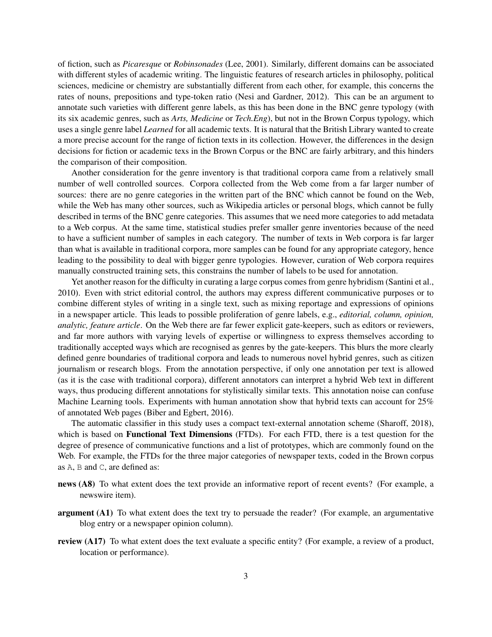of fiction, such as *Picaresque* or *Robinsonades* [\(Lee, 2001\)](#page-21-0). Similarly, different domains can be associated with different styles of academic writing. The linguistic features of research articles in philosophy, political sciences, medicine or chemistry are substantially different from each other, for example, this concerns the rates of nouns, prepositions and type-token ratio [\(Nesi and Gardner, 2012\)](#page-21-4). This can be an argument to annotate such varieties with different genre labels, as this has been done in the BNC genre typology (with its six academic genres, such as *Arts, Medicine* or *Tech.Eng*), but not in the Brown Corpus typology, which uses a single genre label *Learned* for all academic texts. It is natural that the British Library wanted to create a more precise account for the range of fiction texts in its collection. However, the differences in the design decisions for fiction or academic texs in the Brown Corpus or the BNC are fairly arbitrary, and this hinders the comparison of their composition.

Another consideration for the genre inventory is that traditional corpora came from a relatively small number of well controlled sources. Corpora collected from the Web come from a far larger number of sources: there are no genre categories in the written part of the BNC which cannot be found on the Web, while the Web has many other sources, such as Wikipedia articles or personal blogs, which cannot be fully described in terms of the BNC genre categories. This assumes that we need more categories to add metadata to a Web corpus. At the same time, statistical studies prefer smaller genre inventories because of the need to have a sufficient number of samples in each category. The number of texts in Web corpora is far larger than what is available in traditional corpora, more samples can be found for any appropriate category, hence leading to the possibility to deal with bigger genre typologies. However, curation of Web corpora requires manually constructed training sets, this constrains the number of labels to be used for annotation.

Yet another reason for the difficulty in curating a large corpus comes from genre hybridism [\(Santini et al.,](#page-21-2) [2010\)](#page-21-2). Even with strict editorial control, the authors may express different communicative purposes or to combine different styles of writing in a single text, such as mixing reportage and expressions of opinions in a newspaper article. This leads to possible proliferation of genre labels, e.g., *editorial, column, opinion, analytic, feature article*. On the Web there are far fewer explicit gate-keepers, such as editors or reviewers, and far more authors with varying levels of expertise or willingness to express themselves according to traditionally accepted ways which are recognised as genres by the gate-keepers. This blurs the more clearly defined genre boundaries of traditional corpora and leads to numerous novel hybrid genres, such as citizen journalism or research blogs. From the annotation perspective, if only one annotation per text is allowed (as it is the case with traditional corpora), different annotators can interpret a hybrid Web text in different ways, thus producing different annotations for stylistically similar texts. This annotation noise can confuse Machine Learning tools. Experiments with human annotation show that hybrid texts can account for 25% of annotated Web pages [\(Biber and Egbert, 2016\)](#page-20-6).

The automatic classifier in this study uses a compact text-external annotation scheme [\(Sharoff, 2018\)](#page-21-5), which is based on **Functional Text Dimensions** (FTDs). For each FTD, there is a test question for the degree of presence of communicative functions and a list of prototypes, which are commonly found on the Web. For example, the FTDs for the three major categories of newspaper texts, coded in the Brown corpus as A, B and C, are defined as:

- news (A8) To what extent does the text provide an informative report of recent events? (For example, a newswire item).
- argument (A1) To what extent does the text try to persuade the reader? (For example, an argumentative blog entry or a newspaper opinion column).
- review (A17) To what extent does the text evaluate a specific entity? (For example, a review of a product, location or performance).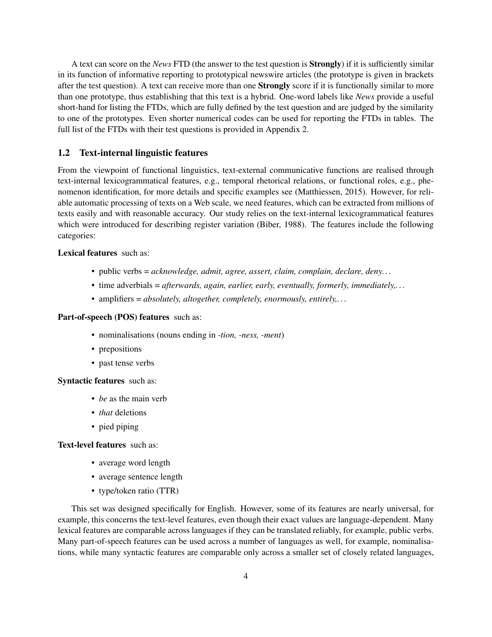A text can score on the *News* FTD (the answer to the test question is Strongly) if it is sufficiently similar in its function of informative reporting to prototypical newswire articles (the prototype is given in brackets after the test question). A text can receive more than one Strongly score if it is functionally similar to more than one prototype, thus establishing that this text is a hybrid. One-word labels like *News* provide a useful short-hand for listing the FTDs, which are fully defined by the test question and are judged by the similarity to one of the prototypes. Even shorter numerical codes can be used for reporting the FTDs in tables. The full list of the FTDs with their test questions is provided in Appendix 2.

### 1.2 Text-internal linguistic features

From the viewpoint of functional linguistics, text-external communicative functions are realised through text-internal lexicogrammatical features, e.g., temporal rhetorical relations, or functional roles, e.g., phenomenon identification, for more details and specific examples see [\(Matthiessen, 2015\)](#page-21-6). However, for reliable automatic processing of texts on a Web scale, we need features, which can be extracted from millions of texts easily and with reasonable accuracy. Our study relies on the text-internal lexicogrammatical features which were introduced for describing register variation [\(Biber, 1988\)](#page-20-7). The features include the following categories:

### Lexical features such as:

- public verbs = *acknowledge, admit, agree, assert, claim, complain, declare, deny. . .*
- time adverbials = *afterwards, again, earlier, early, eventually, formerly, immediately,. . .*
- amplifiers = *absolutely, altogether, completely, enormously, entirely,. . .*

### Part-of-speech (POS) features such as:

- nominalisations (nouns ending in *-tion, -ness, -ment*)
- prepositions
- past tense verbs

Syntactic features such as:

- *be* as the main verb
- *that* deletions
- pied piping

Text-level features such as:

- average word length
- average sentence length
- type/token ratio (TTR)

This set was designed specifically for English. However, some of its features are nearly universal, for example, this concerns the text-level features, even though their exact values are language-dependent. Many lexical features are comparable across languages if they can be translated reliably, for example, public verbs. Many part-of-speech features can be used across a number of languages as well, for example, nominalisations, while many syntactic features are comparable only across a smaller set of closely related languages,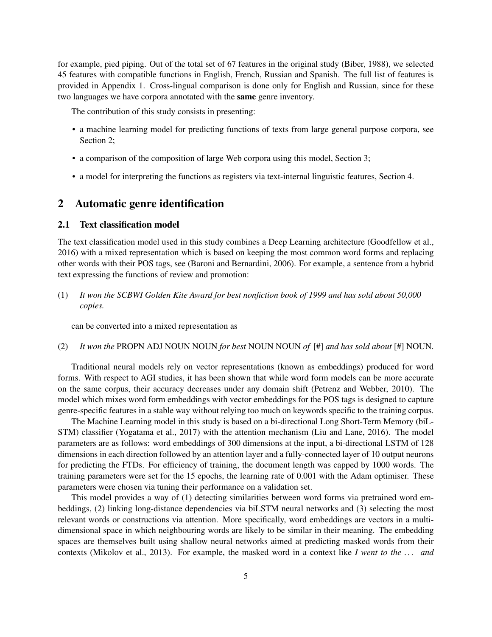for example, pied piping. Out of the total set of 67 features in the original study [\(Biber, 1988\)](#page-20-7), we selected 45 features with compatible functions in English, French, Russian and Spanish. The full list of features is provided in Appendix 1. Cross-lingual comparison is done only for English and Russian, since for these two languages we have corpora annotated with the same genre inventory.

The contribution of this study consists in presenting:

- a machine learning model for predicting functions of texts from large general purpose corpora, see Section [2;](#page-4-0)
- a comparison of the composition of large Web corpora using this model, Section [3;](#page-10-0)
- a model for interpreting the functions as registers via text-internal linguistic features, Section [4.](#page-11-0)

# <span id="page-4-0"></span>2 Automatic genre identification

### <span id="page-4-1"></span>2.1 Text classification model

The text classification model used in this study combines a Deep Learning architecture [\(Goodfellow et al.,](#page-20-8) [2016\)](#page-20-8) with a mixed representation which is based on keeping the most common word forms and replacing other words with their POS tags, see [\(Baroni and Bernardini, 2006\)](#page-19-2). For example, a sentence from a hybrid text expressing the functions of review and promotion:

(1) *It won the SCBWI Golden Kite Award for best nonfiction book of 1999 and has sold about 50,000 copies.*

can be converted into a mixed representation as

(2) *It won the* PROPN ADJ NOUN NOUN *for best* NOUN NOUN *of* [#] *and has sold about* [#] NOUN.

Traditional neural models rely on vector representations (known as embeddings) produced for word forms. With respect to AGI studies, it has been shown that while word form models can be more accurate on the same corpus, their accuracy decreases under any domain shift [\(Petrenz and Webber, 2010\)](#page-21-3). The model which mixes word form embeddings with vector embeddings for the POS tags is designed to capture genre-specific features in a stable way without relying too much on keywords specific to the training corpus.

The Machine Learning model in this study is based on a bi-directional Long Short-Term Memory (biL-STM) classifier [\(Yogatama et al., 2017\)](#page-22-5) with the attention mechanism [\(Liu and Lane, 2016\)](#page-21-7). The model parameters are as follows: word embeddings of 300 dimensions at the input, a bi-directional LSTM of 128 dimensions in each direction followed by an attention layer and a fully-connected layer of 10 output neurons for predicting the FTDs. For efficiency of training, the document length was capped by 1000 words. The training parameters were set for the 15 epochs, the learning rate of 0.001 with the Adam optimiser. These parameters were chosen via tuning their performance on a validation set.

This model provides a way of (1) detecting similarities between word forms via pretrained word embeddings, (2) linking long-distance dependencies via biLSTM neural networks and (3) selecting the most relevant words or constructions via attention. More specifically, word embeddings are vectors in a multidimensional space in which neighbouring words are likely to be similar in their meaning. The embedding spaces are themselves built using shallow neural networks aimed at predicting masked words from their contexts [\(Mikolov et al., 2013\)](#page-21-8). For example, the masked word in a context like *I went to the . . . and*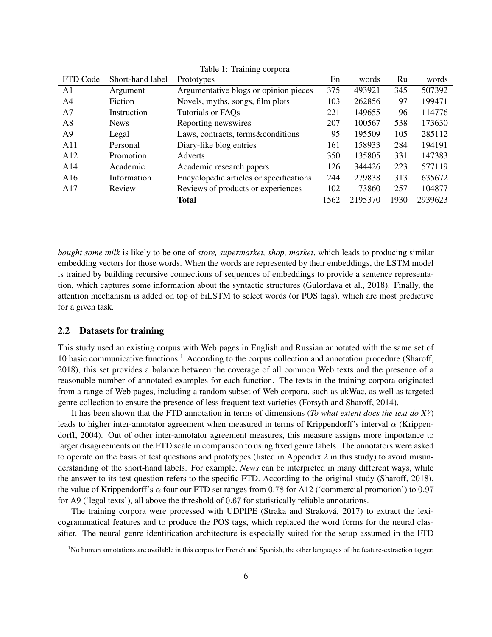|             | Prototypes                              | En   | words   | Ru   | words   |
|-------------|-----------------------------------------|------|---------|------|---------|
| Argument    | Argumentative blogs or opinion pieces   | 375  | 493921  | 345  | 507392  |
| Fiction     | Novels, myths, songs, film plots        | 103  | 262856  | 97   | 199471  |
| Instruction | Tutorials or FAQs                       | 221  | 149655  | 96   | 114776  |
| <b>News</b> | Reporting newswires                     | 207  | 100567  | 538  | 173630  |
| Legal       | Laws, contracts, terms&conditions       | 95   | 195509  | 105  | 285112  |
| Personal    | Diary-like blog entries                 | 161  | 158933  | 284  | 194191  |
| Promotion   | <b>Adverts</b>                          | 350  | 135805  | 331  | 147383  |
| Academic    | Academic research papers                | 126  | 344426  | 223  | 577119  |
| Information | Encyclopedic articles or specifications | 244  | 279838  | 313  | 635672  |
| Review      | Reviews of products or experiences      | 102  | 73860   | 257  | 104877  |
|             | <b>Total</b>                            | 1562 | 2195370 | 1930 | 2939623 |
|             | Short-hand label                        |      |         |      |         |

Table 1: Training corpora

*bought some milk* is likely to be one of *store, supermarket, shop, market*, which leads to producing similar embedding vectors for those words. When the words are represented by their embeddings, the LSTM model is trained by building recursive connections of sequences of embeddings to provide a sentence representation, which captures some information about the syntactic structures [\(Gulordava et al., 2018\)](#page-20-9). Finally, the attention mechanism is added on top of biLSTM to select words (or POS tags), which are most predictive for a given task.

### 2.2 Datasets for training

This study used an existing corpus with Web pages in English and Russian annotated with the same set of [1](#page-5-0)0 basic communicative functions.<sup>1</sup> According to the corpus collection and annotation procedure [\(Sharoff,](#page-21-5) [2018\)](#page-21-5), this set provides a balance between the coverage of all common Web texts and the presence of a reasonable number of annotated examples for each function. The texts in the training corpora originated from a range of Web pages, including a random subset of Web corpora, such as ukWac, as well as targeted genre collection to ensure the presence of less frequent text varieties [\(Forsyth and Sharoff, 2014\)](#page-20-10).

It has been shown that the FTD annotation in terms of dimensions (*To what extent does the text do X?*) leads to higher inter-annotator agreement when measured in terms of Krippendorff's interval  $\alpha$  [\(Krippen](#page-21-9)[dorff, 2004\)](#page-21-9). Out of other inter-annotator agreement measures, this measure assigns more importance to larger disagreements on the FTD scale in comparison to using fixed genre labels. The annotators were asked to operate on the basis of test questions and prototypes (listed in Appendix 2 in this study) to avoid misunderstanding of the short-hand labels. For example, *News* can be interpreted in many different ways, while the answer to its test question refers to the specific FTD. According to the original study [\(Sharoff, 2018\)](#page-21-5), the value of Krippendorff's  $\alpha$  four our FTD set ranges from 0.78 for A12 ('commercial promotion') to 0.97 for A9 ('legal texts'), all above the threshold of 0.67 for statistically reliable annotations.

The training corpora were processed with UDPIPE [\(Straka and Straková, 2017\)](#page-22-6) to extract the lexicogrammatical features and to produce the POS tags, which replaced the word forms for the neural classifier. The neural genre identification architecture is especially suited for the setup assumed in the FTD

<span id="page-5-0"></span><sup>&</sup>lt;sup>1</sup>No human annotations are available in this corpus for French and Spanish, the other languages of the feature-extraction tagger.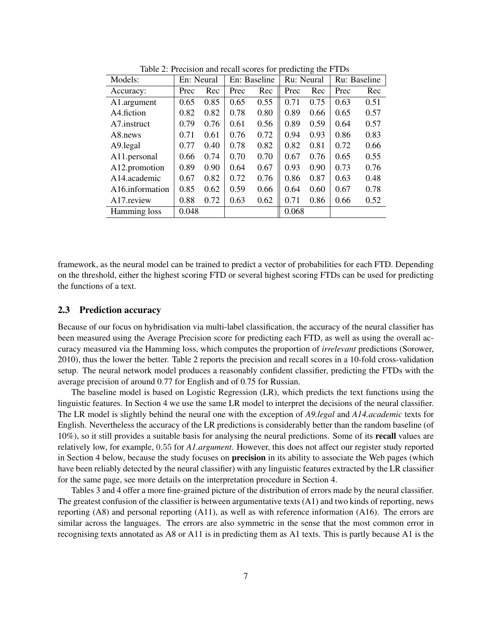| Models:                      | En: Neural |      |      | En: Baseline | Ru: Neural |      | Ru: Baseline |      |
|------------------------------|------------|------|------|--------------|------------|------|--------------|------|
| Accuracy:                    | Prec       | Rec  | Prec | Rec          | Prec       | Rec  | Prec         | Rec  |
| A1.argument                  | 0.65       | 0.85 | 0.65 | 0.55         | 0.71       | 0.75 | 0.63         | 0.51 |
| A4.fiction                   | 0.82       | 0.82 | 0.78 | 0.80         | 0.89       | 0.66 | 0.65         | 0.57 |
| A7.instruct                  | 0.79       | 0.76 | 0.61 | 0.56         | 0.89       | 0.59 | 0.64         | 0.57 |
| A8.news                      | 0.71       | 0.61 | 0.76 | 0.72         | 0.94       | 0.93 | 0.86         | 0.83 |
| A9.legal                     | 0.77       | 0.40 | 0.78 | 0.82         | 0.82       | 0.81 | 0.72         | 0.66 |
| A11.personal                 | 0.66       | 0.74 | 0.70 | 0.70         | 0.67       | 0.76 | 0.65         | 0.55 |
| A12.promotion                | 0.89       | 0.90 | 0.64 | 0.67         | 0.93       | 0.90 | 0.73         | 0.76 |
| A14.academic                 | 0.67       | 0.82 | 0.72 | 0.76         | 0.86       | 0.87 | 0.63         | 0.48 |
| A <sub>16</sub> .information | 0.85       | 0.62 | 0.59 | 0.66         | 0.64       | 0.60 | 0.67         | 0.78 |
| A17.review                   | 0.88       | 0.72 | 0.63 | 0.62         | 0.71       | 0.86 | 0.66         | 0.52 |
| Hamming loss                 | 0.048      |      |      |              | 0.068      |      |              |      |

<span id="page-6-0"></span>Table 2: Precision and recall scores for predicting the FTDs

framework, as the neural model can be trained to predict a vector of probabilities for each FTD. Depending on the threshold, either the highest scoring FTD or several highest scoring FTDs can be used for predicting the functions of a text.

### 2.3 Prediction accuracy

Because of our focus on hybridisation via multi-label classification, the accuracy of the neural classifier has been measured using the Average Precision score for predicting each FTD, as well as using the overall accuracy measured via the Hamming loss, which computes the proportion of *irrelevant* predictions [\(Sorower,](#page-22-7) [2010\)](#page-22-7), thus the lower the better. Table [2](#page-6-0) reports the precision and recall scores in a 10-fold cross-validation setup. The neural network model produces a reasonably confident classifier, predicting the FTDs with the average precision of around 0.77 for English and of 0.75 for Russian.

The baseline model is based on Logistic Regression (LR), which predicts the text functions using the linguistic features. In Section [4](#page-11-0) we use the same LR model to interpret the decisions of the neural classifier. The LR model is slightly behind the neural one with the exception of *A9.legal* and *A14.academic* texts for English. Nevertheless the accuracy of the LR predictions is considerably better than the random baseline (of 10%), so it still provides a suitable basis for analysing the neural predictions. Some of its recall values are relatively low, for example, 0.55 for *A1.argument*. However, this does not affect our register study reported in Section [4](#page-11-0) below, because the study focuses on precision in its ability to associate the Web pages (which have been reliably detected by the neural classifier) with any linguistic features extracted by the LR classifier for the same page, see more details on the interpretation procedure in Section [4.](#page-11-0)

Tables [3](#page-7-0) and [4](#page-7-1) offer a more fine-grained picture of the distribution of errors made by the neural classifier. The greatest confusion of the classifier is between argumentative texts (A1) and two kinds of reporting, news reporting (A8) and personal reporting (A11), as well as with reference information (A16). The errors are similar across the languages. The errors are also symmetric in the sense that the most common error in recognising texts annotated as A8 or A11 is in predicting them as A1 texts. This is partly because A1 is the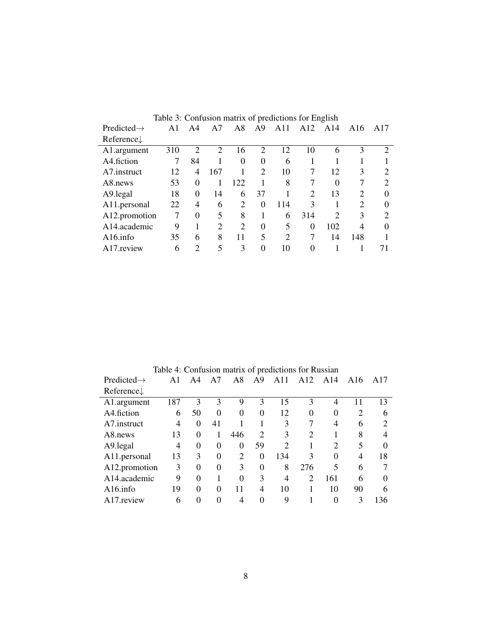<span id="page-7-0"></span>

|                         |     |                             |                |                |                  | Table 3: Confusion matrix of predictions for English |          |               |                             |                |
|-------------------------|-----|-----------------------------|----------------|----------------|------------------|------------------------------------------------------|----------|---------------|-----------------------------|----------------|
| Predicted $\rightarrow$ |     | A4                          | A7             | A8             | A <sup>9</sup>   | A11                                                  | A12      | A14           | A16                         | A17            |
| Reference $\downarrow$  |     |                             |                |                |                  |                                                      |          |               |                             |                |
| A1.argument             | 310 | $\mathcal{D}_{\mathcal{L}}$ | 2              | 16             | $\overline{2}$   | 12                                                   | 10       | 6             | 3                           | $\overline{2}$ |
| A4.fiction              |     | 84                          |                | 0              | $\theta$         | 6                                                    |          |               |                             |                |
| A7.instruct             | 12  | $\overline{4}$              | 167            |                | 2                | 10                                                   | 7        | 12            | 3                           | 2              |
| A8.news                 | 53  | $\Omega$                    |                | 122            |                  | 8                                                    |          | $\Omega$      |                             | 2              |
| A9.legal                | 18  | $\Omega$                    | 14             | 6              | 37               |                                                      |          | 13            | C                           | 0              |
| A11.personal            | 22  | 4                           | 6              | 2              | $\theta$         | 114                                                  | 3        |               | $\mathcal{D}_{\mathcal{L}}$ | 0              |
| A12.promotion           | 7   | $\theta$                    | 5              | 8              | 1                | 6                                                    | 314      | $\mathcal{D}$ | 3                           | $\overline{c}$ |
| A14.academic            | 9   |                             | $\overline{2}$ | $\overline{2}$ | $\boldsymbol{0}$ | 5                                                    | $\Omega$ | 102           | 4                           | 0              |
| $A16$ .info             | 35  | 6                           | 8              | 11             | 5                | $\overline{2}$                                       |          | 14            | 148                         |                |
| A17 review              | 6   | $\mathcal{D}_{\mathcal{A}}$ | 5              | 3              | $\theta$         | 10                                                   | 0        |               |                             |                |

<span id="page-7-1"></span>

|                        |                |          |          |          |                | Table 4: Confusion matrix of predictions for Russian |                |                             |                |                |
|------------------------|----------------|----------|----------|----------|----------------|------------------------------------------------------|----------------|-----------------------------|----------------|----------------|
| $Predicted\rightarrow$ | $\mathsf{A}1$  | A4       | A7       | A8       | A <sub>9</sub> | A11                                                  | A12            | A14                         | A16            | A17            |
| Reference $\downarrow$ |                |          |          |          |                |                                                      |                |                             |                |                |
| A1.argument            | 187            | 3        | 3        | 9        | 3              | 15                                                   | 3              | 4                           | 11             | 13             |
| A4.fiction             | 6              | 50       | $\theta$ | $\Omega$ | $\theta$       | 12                                                   | $\Omega$       | $\Omega$                    | $\overline{2}$ | 6              |
| A7.instruct            | $\overline{4}$ | $\Omega$ | 41       |          |                | 3                                                    | 7              | 4                           | 6              | $\overline{2}$ |
| A8.news                | 13             | $\Omega$ |          | 446      | $\mathcal{D}$  | 3                                                    | $\mathcal{D}$  |                             | 8              | 4              |
| A9.legal               | 4              | $\Omega$ | $\Omega$ | $\theta$ | 59             | $\mathcal{D}$                                        |                | $\mathcal{D}_{\mathcal{L}}$ | 5              | $\Omega$       |
| A11.personal           | 13             | 3        | $\Omega$ | 2        | $\Omega$       | 134                                                  | 3              | 0                           | 4              | 18             |
| A12.promotion          | 3              | $\Omega$ | $\Omega$ | 3        | $\Omega$       | 8                                                    | 276            | 5                           | 6              |                |
| A14.academic           | 9              | $\theta$ |          | $\theta$ | 3              | 4                                                    | $\overline{c}$ | 161                         | 6              | $\Omega$       |
| $A16$ .info            | 19             | $\Omega$ | $\Omega$ | 11       | 4              | 10                                                   |                | 10                          | 90             | 6              |
| A17. review            | 6              |          | 0        |          |                | 9                                                    |                |                             | 3              | 136            |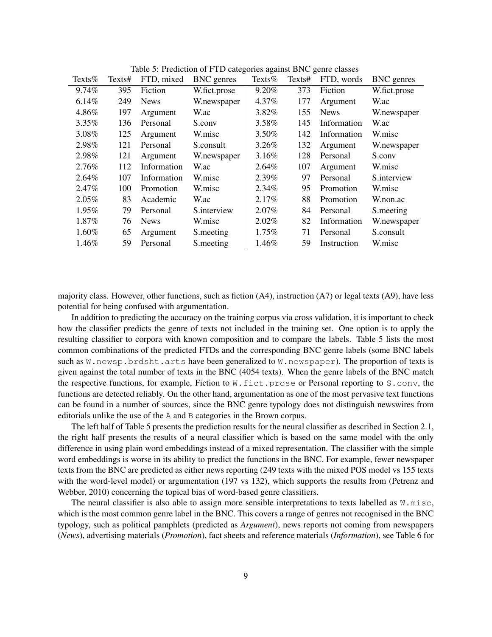| Texts $%$ | Texts# | FTD, mixed  | <b>BNC</b> genres | Texts $%$ | Texts# | FTD, words  | <b>BNC</b> genres |
|-----------|--------|-------------|-------------------|-----------|--------|-------------|-------------------|
| 9.74%     | 395    | Fiction     | W.fict.prose      | 9.20%     | 373    | Fiction     | W.fict.prose      |
| 6.14%     | 249    | <b>News</b> | W.newspaper       | 4.37%     | 177    | Argument    | W.ac              |
| 4.86%     | 197    | Argument    | W.ac              | 3.82%     | 155    | <b>News</b> | W.newspaper       |
| 3.35%     | 136    | Personal    | S.conv            | 3.58%     | 145    | Information | W.ac              |
| 3.08%     | 125    | Argument    | W.misc            | 3.50%     | 142    | Information | W.misc            |
| 2.98%     | 121    | Personal    | S.consult         | $3.26\%$  | 132    | Argument    | W.newspaper       |
| 2.98%     | 121    | Argument    | W.newspaper       | 3.16%     | 128    | Personal    | S.conv            |
| 2.76%     | 112    | Information | W.ac              | 2.64%     | 107    | Argument    | W.misc            |
| 2.64%     | 107    | Information | W.misc            | 2.39%     | 97     | Personal    | S.interview       |
| 2.47%     | 100    | Promotion   | W.misc            | $2.34\%$  | 95     | Promotion   | W.misc            |
| $2.05\%$  | 83     | Academic    | W.ac              | 2.17%     | 88     | Promotion   | W.non.ac          |
| 1.95%     | 79     | Personal    | S.interview       | 2.07%     | 84     | Personal    | S.meeting         |
| 1.87%     | 76     | <b>News</b> | W.misc            | 2.02%     | 82     | Information | W.newspaper       |
| 1.60%     | 65     | Argument    | S.meeting         | 1.75%     | 71     | Personal    | S.consult         |
| 1.46%     | 59     | Personal    | S.meeting         | 1.46%     | 59     | Instruction | W.misc            |

<span id="page-8-0"></span>Table 5: Prediction of FTD categories against BNC genre classes

majority class. However, other functions, such as fiction (A4), instruction (A7) or legal texts (A9), have less potential for being confused with argumentation.

In addition to predicting the accuracy on the training corpus via cross validation, it is important to check how the classifier predicts the genre of texts not included in the training set. One option is to apply the resulting classifier to corpora with known composition and to compare the labels. Table [5](#page-8-0) lists the most common combinations of the predicted FTDs and the corresponding BNC genre labels (some BNC labels such as  $W$ . newsp.brdsht.arts have been generalized to  $W$ . newspaper). The proportion of texts is given against the total number of texts in the BNC (4054 texts). When the genre labels of the BNC match the respective functions, for example, Fiction to  $W$ . fict.prose or Personal reporting to S.conv, the functions are detected reliably. On the other hand, argumentation as one of the most pervasive text functions can be found in a number of sources, since the BNC genre typology does not distinguish newswires from editorials unlike the use of the A and B categories in the Brown corpus.

The left half of Table [5](#page-8-0) presents the prediction results for the neural classifier as described in Section [2.1,](#page-4-1) the right half presents the results of a neural classifier which is based on the same model with the only difference in using plain word embeddings instead of a mixed representation. The classifier with the simple word embeddings is worse in its ability to predict the functions in the BNC. For example, fewer newspaper texts from the BNC are predicted as either news reporting (249 texts with the mixed POS model vs 155 texts with the word-level model) or argumentation (197 vs 132), which supports the results from [\(Petrenz and](#page-21-3) [Webber, 2010\)](#page-21-3) concerning the topical bias of word-based genre classifiers.

The neural classifier is also able to assign more sensible interpretations to texts labelled as  $W$ .misc, which is the most common genre label in the BNC. This covers a range of genres not recognised in the BNC typology, such as political pamphlets (predicted as *Argument*), news reports not coming from newspapers (*News*), advertising materials (*Promotion*), fact sheets and reference materials (*Information*), see Table [6](#page-9-0) for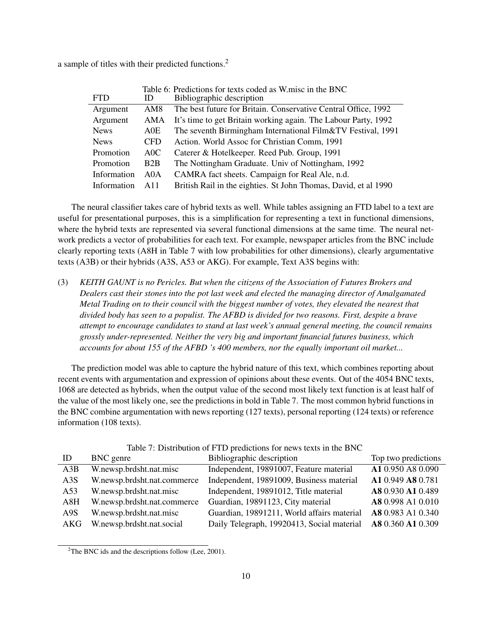a sample of titles with their predicted functions.[2](#page-9-1)

<span id="page-9-0"></span>

|             |                  | Table 6: Predictions for texts coded as W.misc in the BNC       |
|-------------|------------------|-----------------------------------------------------------------|
| <b>FTD</b>  | ID               | Bibliographic description                                       |
| Argument    | AM8              | The best future for Britain. Conservative Central Office, 1992  |
| Argument    | AMA              | It's time to get Britain working again. The Labour Party, 1992  |
| <b>News</b> | A0E              | The seventh Birmingham International Film&TV Festival, 1991     |
| <b>News</b> | <b>CFD</b>       | Action. World Assoc for Christian Comm, 1991                    |
| Promotion   | $A$ OC           | Caterer & Hotelkeeper. Reed Pub. Group, 1991                    |
| Promotion   | B2B              | The Nottingham Graduate. Univ of Nottingham, 1992               |
| Information | A <sub>0</sub> A | CAMRA fact sheets. Campaign for Real Ale, n.d.                  |
| Information | A11              | British Rail in the eighties. St John Thomas, David, et al 1990 |

The neural classifier takes care of hybrid texts as well. While tables assigning an FTD label to a text are useful for presentational purposes, this is a simplification for representing a text in functional dimensions, where the hybrid texts are represented via several functional dimensions at the same time. The neural network predicts a vector of probabilities for each text. For example, newspaper articles from the BNC include clearly reporting texts (A8H in Table [7](#page-9-2) with low probabilities for other dimensions), clearly argumentative texts (A3B) or their hybrids (A3S, A53 or AKG). For example, Text A3S begins with:

(3) *KEITH GAUNT is no Pericles. But when the citizens of the Association of Futures Brokers and Dealers cast their stones into the pot last week and elected the managing director of Amalgamated Metal Trading on to their council with the biggest number of votes, they elevated the nearest that divided body has seen to a populist. The AFBD is divided for two reasons. First, despite a brave attempt to encourage candidates to stand at last week's annual general meeting, the council remains grossly under-represented. Neither the very big and important financial futures business, which accounts for about 155 of the AFBD 's 400 members, nor the equally important oil market...*

The prediction model was able to capture the hybrid nature of this text, which combines reporting about recent events with argumentation and expression of opinions about these events. Out of the 4054 BNC texts, 1068 are detected as hybrids, when the output value of the second most likely text function is at least half of the value of the most likely one, see the predictions in bold in Table [7.](#page-9-2) The most common hybrid functions in the BNC combine argumentation with news reporting (127 texts), personal reporting (124 texts) or reference information (108 texts).

| ID               | BNC genre                   | Bibliographic description                  | Top two predictions |
|------------------|-----------------------------|--------------------------------------------|---------------------|
| A3B              | W.newsp.brdsht.nat.misc     | Independent, 19891007, Feature material    | A1 0.950 A8 0.090   |
| A <sub>3</sub> S | W.newsp.brdsht.nat.commerce | Independent, 19891009, Business material   | A1 0.949 A8 0.781   |
| A53              | W.newsp.brdsht.nat.misc     | Independent, 19891012, Title material      | A8 0.930 A1 0.489   |
| A8H              | W.newsp.brdsht.nat.commerce | Guardian, 19891123, City material          | A8 0.998 A1 0.010   |
| A9S              | W.newsp.brdsht.nat.misc     | Guardian, 19891211, World affairs material | A8 0.983 A1 0.340   |
| AKG              | W.newsp.brdsht.nat.social   | Daily Telegraph, 19920413, Social material | A8 0.360 A1 0.309   |

<span id="page-9-2"></span>Table 7: Distribution of FTD predictions for news texts in the BNC

<span id="page-9-1"></span><sup>&</sup>lt;sup>2</sup>The BNC ids and the descriptions follow [\(Lee, 2001\)](#page-21-0).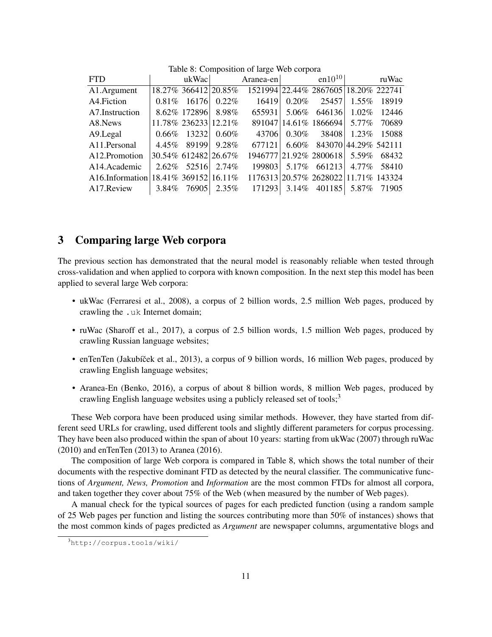| <b>FTD</b>                 |                      | ukWac                |          | $\text{Aranea-en}$                   |          | en $10^{10}$                         |          | ruWac       |
|----------------------------|----------------------|----------------------|----------|--------------------------------------|----------|--------------------------------------|----------|-------------|
| A1.Argument                |                      | 18.27% 366412 20.85% |          | 1521994 22.44% 2867605 18.20% 222741 |          |                                      |          |             |
| A4. Fiction                |                      | $0.81\%$ 16176       | $0.22\%$ | 16419                                | $0.20\%$ | 25457                                | $1.55\%$ | 18919       |
| A7.Instruction             |                      | 8.62% 172896 8.98%   |          |                                      |          | 655931 5.06% 646136 1.02%            |          | 12446       |
| A8.News                    |                      | 11.78% 236233 12.21% |          |                                      |          | 891047 14.61% 1866694 5.77%          |          | 70689       |
| A9.Legal                   |                      | $0.66\%$ 13232       | $0.60\%$ | 43706                                |          | $0.30\%$ 38408                       | $1.23\%$ | 15088       |
| A11.Personal               |                      | 4.45% 89199 9.28%    |          | 677121                               | $6.60\%$ | 843070 44.29% 542111                 |          |             |
| A12.Promotion              |                      | 30.54% 612482 26.67% |          |                                      |          | 1946777 21.92% 2800618 5.59%         |          | 68432       |
| A <sub>14</sub> . Academic |                      | 2.62% 52516 2.74%    |          | 199803                               |          | 5.17% 661213                         |          | 4.77% 58410 |
| $A16$ . Information        | 18.41% 369152 16.11% |                      |          |                                      |          | 1176313 20.57% 2628022 11.71% 143324 |          |             |
| A17. Review                |                      | 3.84% 76905          | 2.35%    | 171293                               | 3.14%    | 401185                               | 5.87%    | 71905       |
|                            |                      |                      |          |                                      |          |                                      |          |             |

<span id="page-10-2"></span>Table 8: Composition of large Web corpora

### <span id="page-10-0"></span>3 Comparing large Web corpora

The previous section has demonstrated that the neural model is reasonably reliable when tested through cross-validation and when applied to corpora with known composition. In the next step this model has been applied to several large Web corpora:

- ukWac [\(Ferraresi et al., 2008\)](#page-20-1), a corpus of 2 billion words, 2.5 million Web pages, produced by crawling the .uk Internet domain;
- ruWac [\(Sharoff et al., 2017\)](#page-21-10), a corpus of 2.5 billion words, 1.5 million Web pages, produced by crawling Russian language websites;
- enTenTen (Jakubíček et al., 2013), a corpus of 9 billion words, 16 million Web pages, produced by crawling English language websites;
- Aranea-En [\(Benko, 2016\)](#page-19-0), a corpus of about 8 billion words, 8 million Web pages, produced by crawling English language websites using a publicly released set of tools;<sup>[3](#page-10-1)</sup>

These Web corpora have been produced using similar methods. However, they have started from different seed URLs for crawling, used different tools and slightly different parameters for corpus processing. They have been also produced within the span of about 10 years: starting from ukWac (2007) through ruWac (2010) and enTenTen (2013) to Aranea (2016).

The composition of large Web corpora is compared in Table [8,](#page-10-2) which shows the total number of their documents with the respective dominant FTD as detected by the neural classifier. The communicative functions of *Argument, News, Promotion* and *Information* are the most common FTDs for almost all corpora, and taken together they cover about 75% of the Web (when measured by the number of Web pages).

A manual check for the typical sources of pages for each predicted function (using a random sample of 25 Web pages per function and listing the sources contributing more than 50% of instances) shows that the most common kinds of pages predicted as *Argument* are newspaper columns, argumentative blogs and

<span id="page-10-1"></span><sup>3</sup><http://corpus.tools/wiki/>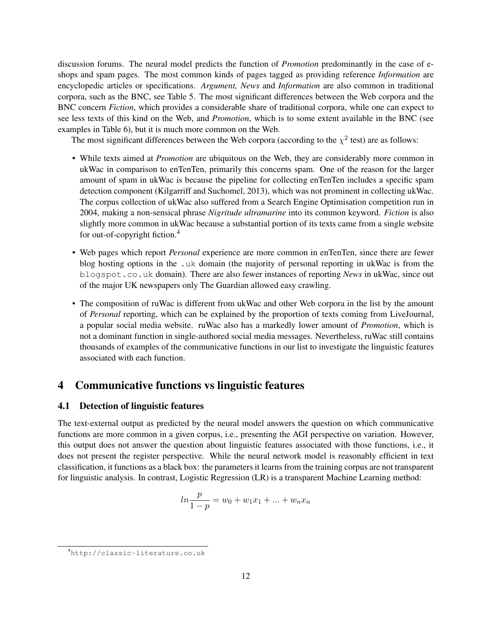discussion forums. The neural model predicts the function of *Promotion* predominantly in the case of eshops and spam pages. The most common kinds of pages tagged as providing reference *Information* are encyclopedic articles or specifications. *Argument, News* and *Information* are also common in traditional corpora, such as the BNC, see Table [5.](#page-8-0) The most significant differences between the Web corpora and the BNC concern *Fiction*, which provides a considerable share of traditional corpora, while one can expect to see less texts of this kind on the Web, and *Promotion*, which is to some extent available in the BNC (see examples in Table [6\)](#page-9-0), but it is much more common on the Web.

The most significant differences between the Web corpora (according to the  $\chi^2$  test) are as follows:

- While texts aimed at *Promotion* are ubiquitous on the Web, they are considerably more common in ukWac in comparison to enTenTen, primarily this concerns spam. One of the reason for the larger amount of spam in ukWac is because the pipeline for collecting enTenTen includes a specific spam detection component [\(Kilgarriff and Suchomel, 2013\)](#page-21-11), which was not prominent in collecting ukWac. The corpus collection of ukWac also suffered from a Search Engine Optimisation competition run in 2004, making a non-sensical phrase *Nigritude ultramarine* into its common keyword. *Fiction* is also slightly more common in ukWac because a substantial portion of its texts came from a single website for out-of-copyright fiction.[4](#page-11-1)
- Web pages which report *Personal* experience are more common in enTenTen, since there are fewer blog hosting options in the .uk domain (the majority of personal reporting in ukWac is from the blogspot.co.uk domain). There are also fewer instances of reporting *News* in ukWac, since out of the major UK newspapers only The Guardian allowed easy crawling.
- The composition of ruWac is different from ukWac and other Web corpora in the list by the amount of *Personal* reporting, which can be explained by the proportion of texts coming from LiveJournal, a popular social media website. ruWac also has a markedly lower amount of *Promotion*, which is not a dominant function in single-authored social media messages. Nevertheless, ruWac still contains thousands of examples of the communicative functions in our list to investigate the linguistic features associated with each function.

## <span id="page-11-0"></span>4 Communicative functions vs linguistic features

### 4.1 Detection of linguistic features

The text-external output as predicted by the neural model answers the question on which communicative functions are more common in a given corpus, i.e., presenting the AGI perspective on variation. However, this output does not answer the question about linguistic features associated with those functions, i.e., it does not present the register perspective. While the neural network model is reasonably efficient in text classification, it functions as a black box: the parameters it learns from the training corpus are not transparent for linguistic analysis. In contrast, Logistic Regression (LR) is a transparent Machine Learning method:

$$
ln \frac{p}{1-p} = w_0 + w_1 x_1 + \dots + w_n x_n
$$

<span id="page-11-1"></span><sup>4</sup><http://classic-literature.co.uk>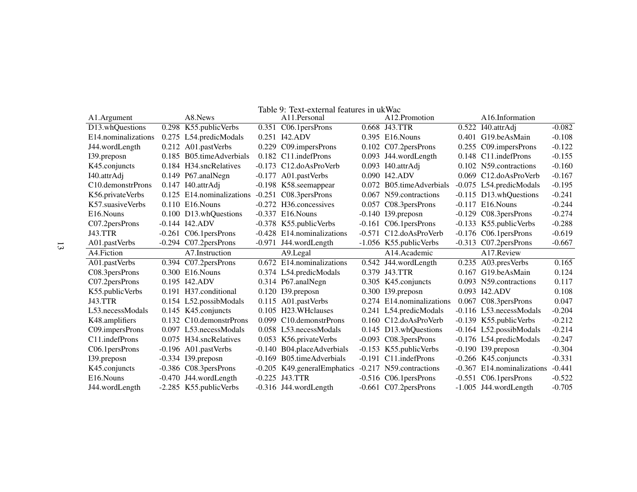<span id="page-12-0"></span>

|                                |                           | Table 9: Text-external features in ukWac |                           |          |                              |          |
|--------------------------------|---------------------------|------------------------------------------|---------------------------|----------|------------------------------|----------|
| A1.Argument                    | A8.News                   | A11. Personal                            | A12.Promotion             |          | A <sub>16</sub> .Information |          |
| D13.whQuestions                | 0.298 K55.publicVerbs     | 0.351 C06.1 persProns                    | 0.668 J43.TTR             |          | 0.522 I40.attrAdj            | $-0.082$ |
| E14.nominalizations            | 0.275 L54.predicModals    | 0.251 I42.ADV                            | 0.395 E16. Nouns          |          | 0.401 G19.beAsMain           | $-0.108$ |
| J44.wordLength                 | 0.212 A01.pastVerbs       | 0.229 C09.impersProns                    | 0.102 C07.2 persProns     | 0.255    | C09.impersProns              | $-0.122$ |
| 139.preposn                    | 0.185 B05.timeAdverbials  | 0.182 C11.indefProns                     | 0.093 J44.wordLength      |          | 0.148 C11.indefProns         | $-0.155$ |
| K45.conjuncts                  | 0.184 H34.sncRelatives    | -0.173 C12.doAsProVerb                   | 0.093 I40.attrAdj         |          | 0.102 N59.contractions       | $-0.160$ |
| I40.attrAdj                    | 0.149 P67.analNegn        | -0.177 A01.pastVerbs                     | 0.090 I42.ADV             |          | 0.069 C12.doAsProVerb        | $-0.167$ |
| C <sub>10</sub> .demonstrProns | $0.147$ I40.attrAdj       | -0.198 K58.seemappear                    | 0.072 B05.timeAdverbials  |          | -0.075 L54.predicModals      | $-0.195$ |
| K56.privateVerbs               | 0.125 E14.nominalizations | $-0.251$ C08.3 persProns                 | 0.067 N59.contractions    |          | -0.115 D13.whQuestions       | $-0.241$ |
| K57.suasiveVerbs               | $0.110$ E16. Nouns        | -0.272 H36.concessives                   | 0.057 C08.3persProns      |          | $-0.117$ E16. Nouns          | $-0.244$ |
| E <sub>16</sub> . Nouns        | 0.100 D13.whQuestions     | $-0.337$ E16. Nouns                      | $-0.140$ I39.preposn      | $-0.129$ | C08.3 persProns              | $-0.274$ |
| C07.2 persProns                | $-0.144$ $I42.ADV$        | -0.378 K55.publicVerbs                   | $-0.161$ C06.1 persProns  |          | -0.133 K55.publicVerbs       | $-0.288$ |
| <b>J43.TTR</b>                 | $-0.261$ C06.1 persProns  | -0.428 E14.nominalizations               | -0.571 C12.doAsProVerb    |          | $-0.176$ C06.1 persProns     | $-0.619$ |
| A01.pastVerbs                  | -0.294 C07.2persProns     | -0.971 J44.wordLength                    | -1.056 K55.publicVerbs    |          | $-0.313$ C07.2 persProns     | $-0.667$ |
|                                |                           |                                          |                           |          |                              |          |
| A4. Fiction                    | A7.Instruction            | A9.Legal                                 | A14.Academic              |          | A17.Review                   |          |
| A01.pastVerbs                  | 0.394 C07.2persProns      | 0.672 E14.nominalizations                | 0.542 J44.wordLength      |          | 0.235 A03.presVerbs          | 0.165    |
| C08.3 persProns                | 0.300 E16. Nouns          | 0.374 L54.predicModals                   | 0.379 J43.TTR             |          | 0.167 G19.beAsMain           | 0.124    |
| C07.2 persProns                | 0.195 I42.ADV             | 0.314 P67.analNegn                       | 0.305 K45.conjuncts       |          | 0.093 N59.contractions       | 0.117    |
| K55.publicVerbs                | 0.191 H37.conditional     | 0.120 I39.preposn                        | 0.300 I39.preposn         |          | 0.093 I42.ADV                | 0.108    |
| <b>J43.TTR</b>                 | 0.154 L52.possibModals    | 0.115 A01.pastVerbs                      | 0.274 E14.nominalizations |          | 0.067 C08.3 persProns        | 0.047    |
| L53.necessModals               | 0.145 K45.conjuncts       | 0.105 H23. WH clauses                    | 0.241 L54.predicModals    |          | -0.116 L53.necessModals      | $-0.204$ |
| K48.amplifiers                 | 0.132 C10.demonstrProns   | 0.099 C10.demonstrProns                  | 0.160 C12.doAsProVerb     |          | -0.139 K55.publicVerbs       | $-0.212$ |
| C09.impersProns                | 0.097 L53.necessModals    | 0.058 L53.necessModals                   | 0.145 D13.whQuestions     |          | -0.164 L52.possibModals      | $-0.214$ |
| C11.indefProns                 | 0.075 H34.sncRelatives    | 0.053 K56.privateVerbs                   | -0.093 C08.3persProns     |          | -0.176 L54.predicModals      | $-0.247$ |
| C06.1 persProns                | -0.196 A01.pastVerbs      | -0.140 B04.placeAdverbials               | -0.153 K55.publicVerbs    |          | -0.190 I39.preposn           | $-0.304$ |
| 139.preposn                    | $-0.334$ I39.preposn      | -0.169 B05.timeAdverbials                | $-0.191$ C11.indefProns   |          | $-0.266$ K45.conjuncts       | $-0.331$ |
| K45.conjuncts                  | -0.386 C08.3persProns     | -0.205 K49.generalEmphatics              | -0.217 N59.contractions   |          | -0.367 E14. nominalizations  | $-0.441$ |
| E <sub>16</sub> . Nouns        | -0.470 J44.wordLength     | $-0.225$ J43.TTR                         | $-0.516$ C06.1 persProns  |          | $-0.551$ C06.1 persProns     | $-0.522$ |

13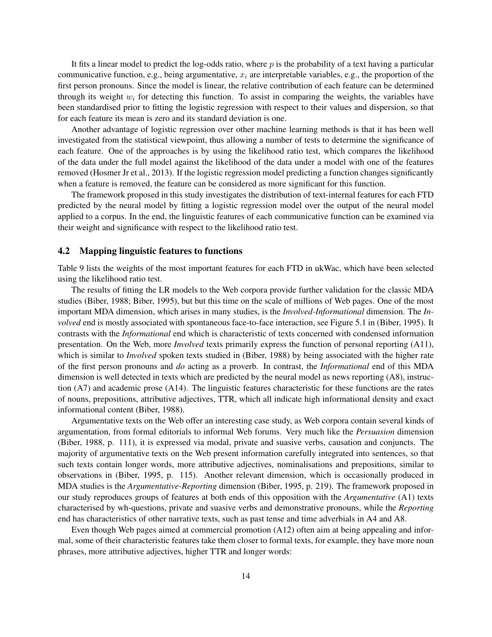It fits a linear model to predict the log-odds ratio, where  $p$  is the probability of a text having a particular communicative function, e.g., being argumentative,  $x_i$  are interpretable variables, e.g., the proportion of the first person pronouns. Since the model is linear, the relative contribution of each feature can be determined through its weight  $w_i$  for detecting this function. To assist in comparing the weights, the variables have been standardised prior to fitting the logistic regression with respect to their values and dispersion, so that for each feature its mean is zero and its standard deviation is one.

Another advantage of logistic regression over other machine learning methods is that it has been well investigated from the statistical viewpoint, thus allowing a number of tests to determine the significance of each feature. One of the approaches is by using the likelihood ratio test, which compares the likelihood of the data under the full model against the likelihood of the data under a model with one of the features removed [\(Hosmer Jr et al., 2013\)](#page-20-11). If the logistic regression model predicting a function changes significantly when a feature is removed, the feature can be considered as more significant for this function.

The framework proposed in this study investigates the distribution of text-internal features for each FTD predicted by the neural model by fitting a logistic regression model over the output of the neural model applied to a corpus. In the end, the linguistic features of each communicative function can be examined via their weight and significance with respect to the likelihood ratio test.

#### 4.2 Mapping linguistic features to functions

Table [9](#page-12-0) lists the weights of the most important features for each FTD in ukWac, which have been selected using the likelihood ratio test.

The results of fitting the LR models to the Web corpora provide further validation for the classic MDA studies [\(Biber, 1988;](#page-20-7) [Biber, 1995\)](#page-20-0), but but this time on the scale of millions of Web pages. One of the most important MDA dimension, which arises in many studies, is the *Involved-Informational* dimension. The *Involved* end is mostly associated with spontaneous face-to-face interaction, see Figure 5.1 in [\(Biber, 1995\)](#page-20-0). It contrasts with the *Informational* end which is characteristic of texts concerned with condensed information presentation. On the Web, more *Involved* texts primarily express the function of personal reporting (A11), which is similar to *Involved* spoken texts studied in [\(Biber, 1988\)](#page-20-7) by being associated with the higher rate of the first person pronouns and *do* acting as a proverb. In contrast, the *Informational* end of this MDA dimension is well detected in texts which are predicted by the neural model as news reporting (A8), instruction (A7) and academic prose (A14). The linguistic features characteristic for these functions are the rates of nouns, prepositions, attributive adjectives, TTR, which all indicate high informational density and exact informational content [\(Biber, 1988\)](#page-20-7).

Argumentative texts on the Web offer an interesting case study, as Web corpora contain several kinds of argumentation, from formal editorials to informal Web forums. Very much like the *Persuasion* dimension [\(Biber, 1988,](#page-20-7) p. 111), it is expressed via modal, private and suasive verbs, causation and conjuncts. The majority of argumentative texts on the Web present information carefully integrated into sentences, so that such texts contain longer words, more attributive adjectives, nominalisations and prepositions, similar to observations in [\(Biber, 1995,](#page-20-0) p. 115). Another relevant dimension, which is occasionally produced in MDA studies is the *Argumentative-Reporting* dimension [\(Biber, 1995,](#page-20-0) p. 219). The framework proposed in our study reproduces groups of features at both ends of this opposition with the *Argumentative* (A1) texts characterised by wh-questions, private and suasive verbs and demonstrative pronouns, while the *Reporting* end has characteristics of other narrative texts, such as past tense and time adverbials in A4 and A8.

Even though Web pages aimed at commercial promotion (A12) often aim at being appealing and informal, some of their characteristic features take them closer to formal texts, for example, they have more noun phrases, more attributive adjectives, higher TTR and longer words: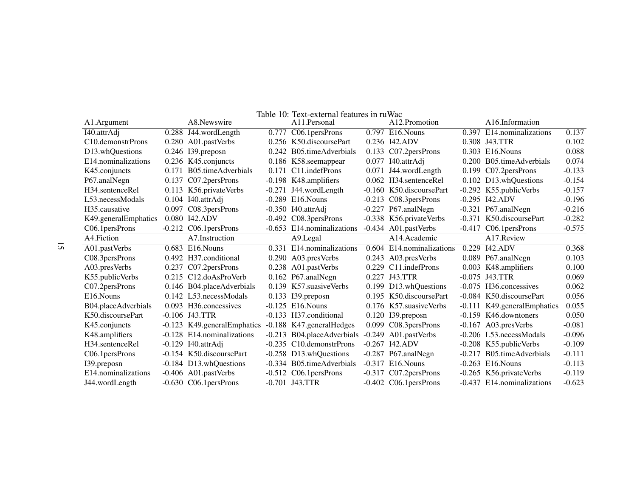| A1.Argument                     | A8.Newswire                 | A11.Personal               | A12.Promotion             | A <sub>16</sub> .Information |          |
|---------------------------------|-----------------------------|----------------------------|---------------------------|------------------------------|----------|
| I40.attrAdj                     | 0.288 J44.wordLength        | 0.777 C06.1 persProns      | 0.797 E16. Nouns          | 0.397 E14.nominalizations    | 0.137    |
| C <sub>10</sub> . demonstrProns | 0.280 A01.pastVerbs         | 0.256 K50.discoursePart    | 0.236 I42.ADV             | 0.308 J43.TTR                | 0.102    |
| D13.whQuestions                 | 0.246 I39.preposn           | 0.242 B05.timeAdverbials   | 0.133 C07.2persProns      | 0.303 E16. Nouns             | 0.088    |
| E14.nominalizations             | 0.236 K45.conjuncts         | 0.186 K58.seemappear       | $0.077$ I40.attrAdj       | 0.200 B05.timeAdverbials     | 0.074    |
| K45.conjuncts                   | 0.171 B05.timeAdverbials    | 0.171 C11.indefProns       | 0.071 J44.wordLength      | 0.199 C07.2 persProns        | $-0.133$ |
| P67.analNegn                    | 0.137 C07.2 persProns       | -0.198 K48.amplifiers      | 0.062 H34.sentenceRel     | 0.102 D13.whQuestions        | $-0.154$ |
| H34.sentenceRel                 | 0.113 K56.privateVerbs      | $-0.271$ J44.wordLength    | -0.160 K50.discoursePart  | -0.292 K55.publicVerbs       | $-0.157$ |
| L53.necessModals                | 0.104 I40.attrAdj           | $-0.289$ E16. Nouns        | $-0.213$ C08.3 persProns  | $-0.295$ I42.ADV             | $-0.196$ |
| H <sub>35</sub> .causative      | 0.097 C08.3persProns        | $-0.350$ I40.attrAdj       | $-0.227$ P67.analNegn     | $-0.321$ P67.analNegn        | $-0.216$ |
| K49.generalEmphatics            | 0.080 142.ADV               | $-0.492$ C08.3 persProns   | -0.338 K56.privateVerbs   | -0.371 K50. discourse Part   | $-0.282$ |
| C06.1 persProns                 | $-0.212$ C06.1 persProns    | -0.653 E14.nominalizations | -0.434 A01.pastVerbs      | $-0.417$ C06.1 persProns     | $-0.575$ |
| A4. Fiction                     | A7.Instruction              | A9.Legal                   | A14.Academic              | A17. Review                  |          |
| A01.pastVerbs                   | 0.683 E16. Nouns            | 0.331 E14.nominalizations  | 0.604 E14.nominalizations | 0.229 I42.ADV                | 0.368    |
| C08.3 persProns                 | 0.492 H37.conditional       | 0.290 A03.presVerbs        | 0.243 A03.presVerbs       | 0.089 P67.analNegn           | 0.103    |
| A03.presVerbs                   | 0.237 C07.2persProns        | 0.238 A01.pastVerbs        | 0.229 C11.indefProns      | 0.003 K48.amplifiers         | 0.100    |
| K55.publicVerbs                 | 0.215 C12.doAsProVerb       | $0.162$ P67.analNegn       | 0.227 J43.TTR             | $-0.075$ J43.TTR             | 0.069    |
| C07.2 persProns                 | 0.146 B04.placeAdverbials   | 0.139 K57. suasive Verbs   | 0.199 D13.whQuestions     | -0.075 H36.concessives       | 0.062    |
| E <sub>16</sub> . Nouns         | 0.142 L53.necessModals      | 0.133 I39.preposn          | 0.195 K50.discoursePart   | -0.084 K50.discoursePart     | 0.056    |
| B04.placeAdverbials             | 0.093 H36.concessives       | $-0.125$ E16. Nouns        | 0.176 K57. suasive Verbs  | -0.111 K49.generalEmphatics  | 0.055    |
| K50.discoursePart               | $-0.106$ J43.TTR            | -0.133 H37.conditional     | 0.120 I39.preposn         | -0.159 K46.downtoners        | 0.050    |
| K45.conjuncts                   | -0.123 K49.generalEmphatics | -0.188 K47.generalHedges   | 0.099 C08.3persProns      | $-0.167$ A03.presVerbs       | $-0.081$ |
| K48.amplifiers                  | -0.128 E14. nominalizations | -0.213 B04.placeAdverbials | -0.249 A01.pastVerbs      | -0.206 L53.necessModals      | $-0.096$ |
| H <sub>34.sentenceRel</sub>     | $-0.129$ I40.attrAdj        | -0.235 C10.demonstrProns   | $-0.267$ I42.ADV          | -0.208 K55.publicVerbs       | $-0.109$ |
| C06.1 persProns                 | -0.154 K50.discoursePart    | $-0.258$ D13.whQuestions   | $-0.287$ P67.analNegn     | -0.217 B05.timeAdverbials    | $-0.111$ |
| 139. preposn                    | -0.184 D13.whQuestions      | -0.334 B05.timeAdverbials  | $-0.317$ E16. Nouns       | $-0.263$ E16. Nouns          | $-0.113$ |
| E14.nominalizations             | $-0.406$ A01.pastVerbs      | $-0.512$ C06.1 persProns   | $-0.317$ C07.2 persProns  | -0.265 K56.privateVerbs      | $-0.119$ |
| J44.wordLength                  | $-0.630$ C06.1 persProns    | $-0.701$ J43.TTR           | $-0.402$ C06.1 persProns  | -0.437 E14. nominalizations  | $-0.623$ |

<span id="page-14-0"></span>Table 10: Text-external features in ruWac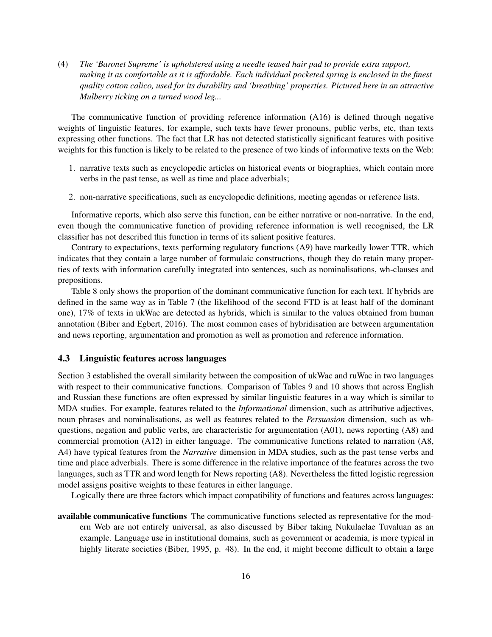(4) *The 'Baronet Supreme' is upholstered using a needle teased hair pad to provide extra support, making it as comfortable as it is affordable. Each individual pocketed spring is enclosed in the finest quality cotton calico, used for its durability and 'breathing' properties. Pictured here in an attractive Mulberry ticking on a turned wood leg...*

The communicative function of providing reference information (A16) is defined through negative weights of linguistic features, for example, such texts have fewer pronouns, public verbs, etc, than texts expressing other functions. The fact that LR has not detected statistically significant features with positive weights for this function is likely to be related to the presence of two kinds of informative texts on the Web:

- 1. narrative texts such as encyclopedic articles on historical events or biographies, which contain more verbs in the past tense, as well as time and place adverbials;
- 2. non-narrative specifications, such as encyclopedic definitions, meeting agendas or reference lists.

Informative reports, which also serve this function, can be either narrative or non-narrative. In the end, even though the communicative function of providing reference information is well recognised, the LR classifier has not described this function in terms of its salient positive features.

Contrary to expectations, texts performing regulatory functions (A9) have markedly lower TTR, which indicates that they contain a large number of formulaic constructions, though they do retain many properties of texts with information carefully integrated into sentences, such as nominalisations, wh-clauses and prepositions.

Table [8](#page-10-2) only shows the proportion of the dominant communicative function for each text. If hybrids are defined in the same way as in Table [7](#page-9-2) (the likelihood of the second FTD is at least half of the dominant one), 17% of texts in ukWac are detected as hybrids, which is similar to the values obtained from human annotation [\(Biber and Egbert, 2016\)](#page-20-6). The most common cases of hybridisation are between argumentation and news reporting, argumentation and promotion as well as promotion and reference information.

#### 4.3 Linguistic features across languages

Section [3](#page-10-0) established the overall similarity between the composition of ukWac and ruWac in two languages with respect to their communicative functions. Comparison of Tables [9](#page-12-0) and [10](#page-14-0) shows that across English and Russian these functions are often expressed by similar linguistic features in a way which is similar to MDA studies. For example, features related to the *Informational* dimension, such as attributive adjectives, noun phrases and nominalisations, as well as features related to the *Persuasion* dimension, such as whquestions, negation and public verbs, are characteristic for argumentation (A01), news reporting (A8) and commercial promotion (A12) in either language. The communicative functions related to narration (A8, A4) have typical features from the *Narrative* dimension in MDA studies, such as the past tense verbs and time and place adverbials. There is some difference in the relative importance of the features across the two languages, such as TTR and word length for News reporting (A8). Nevertheless the fitted logistic regression model assigns positive weights to these features in either language.

Logically there are three factors which impact compatibility of functions and features across languages:

available communicative functions The communicative functions selected as representative for the modern Web are not entirely universal, as also discussed by Biber taking Nukulaelae Tuvaluan as an example. Language use in institutional domains, such as government or academia, is more typical in highly literate societies [\(Biber, 1995,](#page-20-0) p. 48). In the end, it might become difficult to obtain a large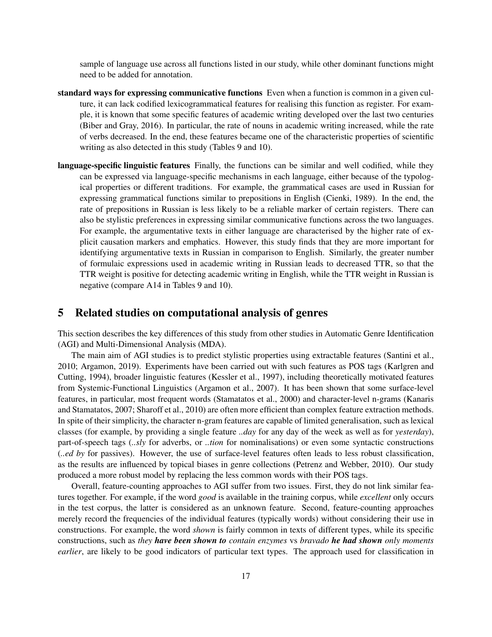sample of language use across all functions listed in our study, while other dominant functions might need to be added for annotation.

- standard ways for expressing communicative functions Even when a function is common in a given culture, it can lack codified lexicogrammatical features for realising this function as register. For example, it is known that some specific features of academic writing developed over the last two centuries [\(Biber and Gray, 2016\)](#page-20-12). In particular, the rate of nouns in academic writing increased, while the rate of verbs decreased. In the end, these features became one of the characteristic properties of scientific writing as also detected in this study (Tables [9](#page-12-0) and [10\)](#page-14-0).
- language-specific linguistic features Finally, the functions can be similar and well codified, while they can be expressed via language-specific mechanisms in each language, either because of the typological properties or different traditions. For example, the grammatical cases are used in Russian for expressing grammatical functions similar to prepositions in English [\(Cienki, 1989\)](#page-20-13). In the end, the rate of prepositions in Russian is less likely to be a reliable marker of certain registers. There can also be stylistic preferences in expressing similar communicative functions across the two languages. For example, the argumentative texts in either language are characterised by the higher rate of explicit causation markers and emphatics. However, this study finds that they are more important for identifying argumentative texts in Russian in comparison to English. Similarly, the greater number of formulaic expressions used in academic writing in Russian leads to decreased TTR, so that the TTR weight is positive for detecting academic writing in English, while the TTR weight in Russian is negative (compare A14 in Tables [9](#page-12-0) and [10\)](#page-14-0).

### 5 Related studies on computational analysis of genres

This section describes the key differences of this study from other studies in Automatic Genre Identification (AGI) and Multi-Dimensional Analysis (MDA).

The main aim of AGI studies is to predict stylistic properties using extractable features [\(Santini et al.,](#page-21-2) [2010;](#page-21-2) [Argamon, 2019\)](#page-19-3). Experiments have been carried out with such features as POS tags [\(Karlgren and](#page-21-12) [Cutting, 1994\)](#page-21-12), broader linguistic features [\(Kessler et al., 1997\)](#page-21-13), including theoretically motivated features from Systemic-Functional Linguistics [\(Argamon et al., 2007\)](#page-19-4). It has been shown that some surface-level features, in particular, most frequent words [\(Stamatatos et al., 2000\)](#page-22-4) and character-level n-grams [\(Kanaris](#page-21-14) [and Stamatatos, 2007;](#page-21-14) [Sharoff et al., 2010\)](#page-22-3) are often more efficient than complex feature extraction methods. In spite of their simplicity, the character n-gram features are capable of limited generalisation, such as lexical classes (for example, by providing a single feature *..day* for any day of the week as well as for *yesterday*), part-of-speech tags (*..sly* for adverbs, or *..tion* for nominalisations) or even some syntactic constructions (*..ed by* for passives). However, the use of surface-level features often leads to less robust classification, as the results are influenced by topical biases in genre collections [\(Petrenz and Webber, 2010\)](#page-21-3). Our study produced a more robust model by replacing the less common words with their POS tags.

Overall, feature-counting approaches to AGI suffer from two issues. First, they do not link similar features together. For example, if the word *good* is available in the training corpus, while *excellent* only occurs in the test corpus, the latter is considered as an unknown feature. Second, feature-counting approaches merely record the frequencies of the individual features (typically words) without considering their use in constructions. For example, the word *shown* is fairly common in texts of different types, while its specific constructions, such as *they have been shown to contain enzymes* vs *bravado he had shown only moments earlier*, are likely to be good indicators of particular text types. The approach used for classification in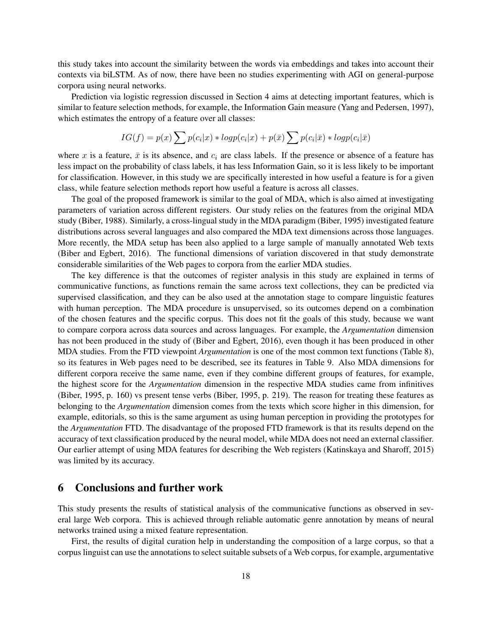this study takes into account the similarity between the words via embeddings and takes into account their contexts via biLSTM. As of now, there have been no studies experimenting with AGI on general-purpose corpora using neural networks.

Prediction via logistic regression discussed in Section [4](#page-11-0) aims at detecting important features, which is similar to feature selection methods, for example, the Information Gain measure [\(Yang and Pedersen, 1997\)](#page-22-8), which estimates the entropy of a feature over all classes:

$$
IG(f) = p(x) \sum p(c_i|x) * logp(c_i|x) + p(\bar{x}) \sum p(c_i|\bar{x}) * logp(c_i|\bar{x})
$$

where x is a feature,  $\bar{x}$  is its absence, and  $c_i$  are class labels. If the presence or absence of a feature has less impact on the probability of class labels, it has less Information Gain, so it is less likely to be important for classification. However, in this study we are specifically interested in how useful a feature is for a given class, while feature selection methods report how useful a feature is across all classes.

The goal of the proposed framework is similar to the goal of MDA, which is also aimed at investigating parameters of variation across different registers. Our study relies on the features from the original MDA study [\(Biber, 1988\)](#page-20-7). Similarly, a cross-lingual study in the MDA paradigm [\(Biber, 1995\)](#page-20-0) investigated feature distributions across several languages and also compared the MDA text dimensions across those languages. More recently, the MDA setup has been also applied to a large sample of manually annotated Web texts [\(Biber and Egbert, 2016\)](#page-20-6). The functional dimensions of variation discovered in that study demonstrate considerable similarities of the Web pages to corpora from the earlier MDA studies.

The key difference is that the outcomes of register analysis in this study are explained in terms of communicative functions, as functions remain the same across text collections, they can be predicted via supervised classification, and they can be also used at the annotation stage to compare linguistic features with human perception. The MDA procedure is unsupervised, so its outcomes depend on a combination of the chosen features and the specific corpus. This does not fit the goals of this study, because we want to compare corpora across data sources and across languages. For example, the *Argumentation* dimension has not been produced in the study of [\(Biber and Egbert, 2016\)](#page-20-6), even though it has been produced in other MDA studies. From the FTD viewpoint *Argumentation* is one of the most common text functions (Table [8\)](#page-10-2), so its features in Web pages need to be described, see its features in Table [9.](#page-12-0) Also MDA dimensions for different corpora receive the same name, even if they combine different groups of features, for example, the highest score for the *Argumentation* dimension in the respective MDA studies came from infinitives [\(Biber, 1995,](#page-20-0) p. 160) vs present tense verbs [\(Biber, 1995,](#page-20-0) p. 219). The reason for treating these features as belonging to the *Argumentation* dimension comes from the texts which score higher in this dimension, for example, editorials, so this is the same argument as using human perception in providing the prototypes for the *Argumentation* FTD. The disadvantage of the proposed FTD framework is that its results depend on the accuracy of text classification produced by the neural model, while MDA does not need an external classifier. Our earlier attempt of using MDA features for describing the Web registers [\(Katinskaya and Sharoff, 2015\)](#page-21-15) was limited by its accuracy.

### 6 Conclusions and further work

This study presents the results of statistical analysis of the communicative functions as observed in several large Web corpora. This is achieved through reliable automatic genre annotation by means of neural networks trained using a mixed feature representation.

First, the results of digital curation help in understanding the composition of a large corpus, so that a corpus linguist can use the annotations to select suitable subsets of a Web corpus, for example, argumentative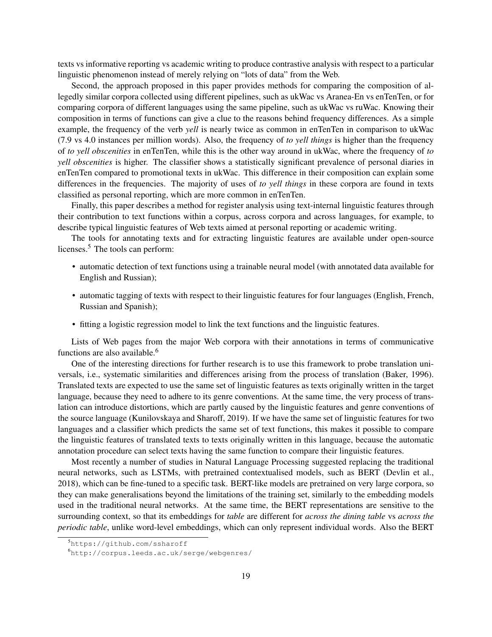texts vs informative reporting vs academic writing to produce contrastive analysis with respect to a particular linguistic phenomenon instead of merely relying on "lots of data" from the Web.

Second, the approach proposed in this paper provides methods for comparing the composition of allegedly similar corpora collected using different pipelines, such as ukWac vs Aranea-En vs enTenTen, or for comparing corpora of different languages using the same pipeline, such as ukWac vs ruWac. Knowing their composition in terms of functions can give a clue to the reasons behind frequency differences. As a simple example, the frequency of the verb *yell* is nearly twice as common in enTenTen in comparison to ukWac (7.9 vs 4.0 instances per million words). Also, the frequency of *to yell things* is higher than the frequency of *to yell obscenities* in enTenTen, while this is the other way around in ukWac, where the frequency of *to yell obscenities* is higher. The classifier shows a statistically significant prevalence of personal diaries in enTenTen compared to promotional texts in ukWac. This difference in their composition can explain some differences in the frequencies. The majority of uses of *to yell things* in these corpora are found in texts classified as personal reporting, which are more common in enTenTen.

Finally, this paper describes a method for register analysis using text-internal linguistic features through their contribution to text functions within a corpus, across corpora and across languages, for example, to describe typical linguistic features of Web texts aimed at personal reporting or academic writing.

The tools for annotating texts and for extracting linguistic features are available under open-source licenses.<sup>[5](#page-18-0)</sup> The tools can perform:

- automatic detection of text functions using a trainable neural model (with annotated data available for English and Russian);
- automatic tagging of texts with respect to their linguistic features for four languages (English, French, Russian and Spanish);
- fitting a logistic regression model to link the text functions and the linguistic features.

Lists of Web pages from the major Web corpora with their annotations in terms of communicative functions are also available.<sup>[6](#page-18-1)</sup>

One of the interesting directions for further research is to use this framework to probe translation universals, i.e., systematic similarities and differences arising from the process of translation [\(Baker, 1996\)](#page-19-5). Translated texts are expected to use the same set of linguistic features as texts originally written in the target language, because they need to adhere to its genre conventions. At the same time, the very process of translation can introduce distortions, which are partly caused by the linguistic features and genre conventions of the source language [\(Kunilovskaya and Sharoff, 2019\)](#page-21-16). If we have the same set of linguistic features for two languages and a classifier which predicts the same set of text functions, this makes it possible to compare the linguistic features of translated texts to texts originally written in this language, because the automatic annotation procedure can select texts having the same function to compare their linguistic features.

Most recently a number of studies in Natural Language Processing suggested replacing the traditional neural networks, such as LSTMs, with pretrained contextualised models, such as BERT [\(Devlin et al.,](#page-20-14) [2018\)](#page-20-14), which can be fine-tuned to a specific task. BERT-like models are pretrained on very large corpora, so they can make generalisations beyond the limitations of the training set, similarly to the embedding models used in the traditional neural networks. At the same time, the BERT representations are sensitive to the surrounding context, so that its embeddings for *table* are different for *across the dining table* vs *across the periodic table*, unlike word-level embeddings, which can only represent individual words. Also the BERT

<span id="page-18-0"></span><sup>5</sup><https://github.com/ssharoff>

<span id="page-18-1"></span><sup>6</sup><http://corpus.leeds.ac.uk/serge/webgenres/>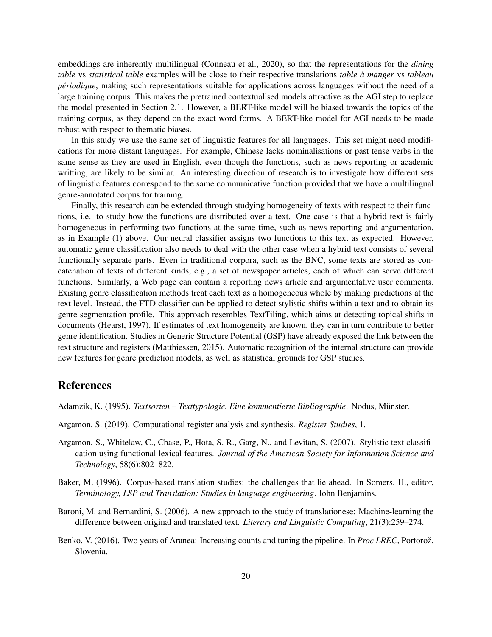embeddings are inherently multilingual [\(Conneau et al., 2020\)](#page-20-15), so that the representations for the *dining table* vs *statistical table* examples will be close to their respective translations *table à manger* vs *tableau périodique*, making such representations suitable for applications across languages without the need of a large training corpus. This makes the pretrained contextualised models attractive as the AGI step to replace the model presented in Section [2.1.](#page-4-1) However, a BERT-like model will be biased towards the topics of the training corpus, as they depend on the exact word forms. A BERT-like model for AGI needs to be made robust with respect to thematic biases.

In this study we use the same set of linguistic features for all languages. This set might need modifications for more distant languages. For example, Chinese lacks nominalisations or past tense verbs in the same sense as they are used in English, even though the functions, such as news reporting or academic writting, are likely to be similar. An interesting direction of research is to investigate how different sets of linguistic features correspond to the same communicative function provided that we have a multilingual genre-annotated corpus for training.

Finally, this research can be extended through studying homogeneity of texts with respect to their functions, i.e. to study how the functions are distributed over a text. One case is that a hybrid text is fairly homogeneous in performing two functions at the same time, such as news reporting and argumentation, as in Example (1) above. Our neural classifier assigns two functions to this text as expected. However, automatic genre classification also needs to deal with the other case when a hybrid text consists of several functionally separate parts. Even in traditional corpora, such as the BNC, some texts are stored as concatenation of texts of different kinds, e.g., a set of newspaper articles, each of which can serve different functions. Similarly, a Web page can contain a reporting news article and argumentative user comments. Existing genre classification methods treat each text as a homogeneous whole by making predictions at the text level. Instead, the FTD classifier can be applied to detect stylistic shifts within a text and to obtain its genre segmentation profile. This approach resembles TextTiling, which aims at detecting topical shifts in documents [\(Hearst, 1997\)](#page-20-16). If estimates of text homogeneity are known, they can in turn contribute to better genre identification. Studies in Generic Structure Potential (GSP) have already exposed the link between the text structure and registers [\(Matthiessen, 2015\)](#page-21-6). Automatic recognition of the internal structure can provide new features for genre prediction models, as well as statistical grounds for GSP studies.

### References

<span id="page-19-1"></span>Adamzik, K. (1995). *Textsorten – Texttypologie. Eine kommentierte Bibliographie*. Nodus, Münster.

- <span id="page-19-3"></span>Argamon, S. (2019). Computational register analysis and synthesis. *Register Studies*, 1.
- <span id="page-19-4"></span>Argamon, S., Whitelaw, C., Chase, P., Hota, S. R., Garg, N., and Levitan, S. (2007). Stylistic text classification using functional lexical features. *Journal of the American Society for Information Science and Technology*, 58(6):802–822.
- <span id="page-19-5"></span>Baker, M. (1996). Corpus-based translation studies: the challenges that lie ahead. In Somers, H., editor, *Terminology, LSP and Translation: Studies in language engineering*. John Benjamins.
- <span id="page-19-2"></span>Baroni, M. and Bernardini, S. (2006). A new approach to the study of translationese: Machine-learning the difference between original and translated text. *Literary and Linguistic Computing*, 21(3):259–274.
- <span id="page-19-0"></span>Benko, V. (2016). Two years of Aranea: Increasing counts and tuning the pipeline. In *Proc LREC*, Portorož, Slovenia.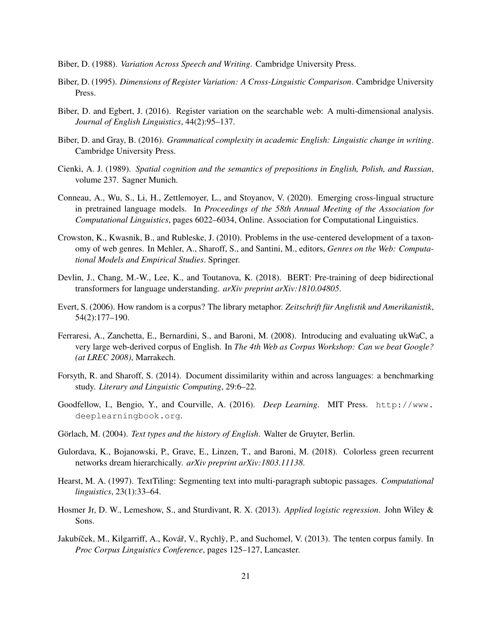- <span id="page-20-7"></span>Biber, D. (1988). *Variation Across Speech and Writing*. Cambridge University Press.
- <span id="page-20-0"></span>Biber, D. (1995). *Dimensions of Register Variation: A Cross-Linguistic Comparison*. Cambridge University Press.
- <span id="page-20-6"></span>Biber, D. and Egbert, J. (2016). Register variation on the searchable web: A multi-dimensional analysis. *Journal of English Linguistics*, 44(2):95–137.
- <span id="page-20-12"></span>Biber, D. and Gray, B. (2016). *Grammatical complexity in academic English: Linguistic change in writing*. Cambridge University Press.
- <span id="page-20-13"></span>Cienki, A. J. (1989). *Spatial cognition and the semantics of prepositions in English, Polish, and Russian*, volume 237. Sagner Munich.
- <span id="page-20-15"></span>Conneau, A., Wu, S., Li, H., Zettlemoyer, L., and Stoyanov, V. (2020). Emerging cross-lingual structure in pretrained language models. In *Proceedings of the 58th Annual Meeting of the Association for Computational Linguistics*, pages 6022–6034, Online. Association for Computational Linguistics.
- <span id="page-20-4"></span>Crowston, K., Kwasnik, B., and Rubleske, J. (2010). Problems in the use-centered development of a taxonomy of web genres. In Mehler, A., Sharoff, S., and Santini, M., editors, *Genres on the Web: Computational Models and Empirical Studies*. Springer.
- <span id="page-20-14"></span>Devlin, J., Chang, M.-W., Lee, K., and Toutanova, K. (2018). BERT: Pre-training of deep bidirectional transformers for language understanding. *arXiv preprint arXiv:1810.04805*.
- <span id="page-20-3"></span>Evert, S. (2006). How random is a corpus? The library metaphor. *Zeitschrift für Anglistik und Amerikanistik*, 54(2):177–190.
- <span id="page-20-1"></span>Ferraresi, A., Zanchetta, E., Bernardini, S., and Baroni, M. (2008). Introducing and evaluating ukWaC, a very large web-derived corpus of English. In *The 4th Web as Corpus Workshop: Can we beat Google? (at LREC 2008)*, Marrakech.
- <span id="page-20-10"></span>Forsyth, R. and Sharoff, S. (2014). Document dissimilarity within and across languages: a benchmarking study. *Literary and Linguistic Computing*, 29:6–22.
- <span id="page-20-8"></span>Goodfellow, I., Bengio, Y., and Courville, A. (2016). *Deep Learning*. MIT Press. [http://www.](http://www.deeplearningbook.org) [deeplearningbook.org](http://www.deeplearningbook.org).
- <span id="page-20-5"></span>Görlach, M. (2004). *Text types and the history of English*. Walter de Gruyter, Berlin.
- <span id="page-20-9"></span>Gulordava, K., Bojanowski, P., Grave, E., Linzen, T., and Baroni, M. (2018). Colorless green recurrent networks dream hierarchically. *arXiv preprint arXiv:1803.11138*.
- <span id="page-20-16"></span>Hearst, M. A. (1997). TextTiling: Segmenting text into multi-paragraph subtopic passages. *Computational linguistics*, 23(1):33–64.
- <span id="page-20-11"></span>Hosmer Jr, D. W., Lemeshow, S., and Sturdivant, R. X. (2013). *Applied logistic regression*. John Wiley & Sons.
- <span id="page-20-2"></span>Jakubíček, M., Kilgarriff, A., Kovář, V., Rychlỳ, P., and Suchomel, V. (2013). The tenten corpus family. In *Proc Corpus Linguistics Conference*, pages 125–127, Lancaster.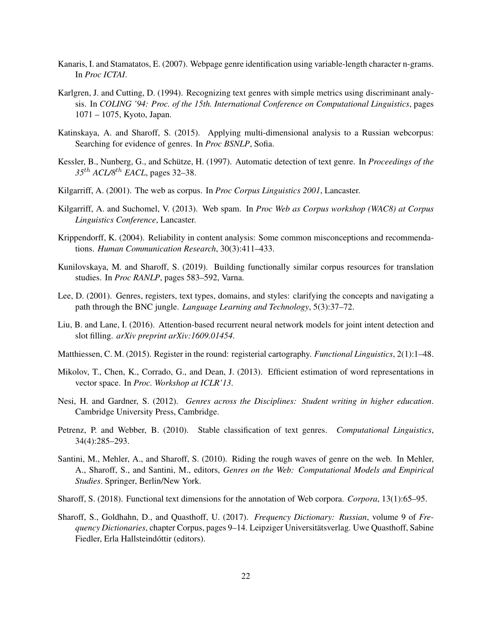- <span id="page-21-14"></span>Kanaris, I. and Stamatatos, E. (2007). Webpage genre identification using variable-length character n-grams. In *Proc ICTAI*.
- <span id="page-21-12"></span>Karlgren, J. and Cutting, D. (1994). Recognizing text genres with simple metrics using discriminant analysis. In *COLING '94: Proc. of the 15th. International Conference on Computational Linguistics*, pages 1071 – 1075, Kyoto, Japan.
- <span id="page-21-15"></span>Katinskaya, A. and Sharoff, S. (2015). Applying multi-dimensional analysis to a Russian webcorpus: Searching for evidence of genres. In *Proc BSNLP*, Sofia.
- <span id="page-21-13"></span>Kessler, B., Nunberg, G., and Schütze, H. (1997). Automatic detection of text genre. In *Proceedings of the 35*th *ACL/8*th *EACL*, pages 32–38.
- <span id="page-21-1"></span>Kilgarriff, A. (2001). The web as corpus. In *Proc Corpus Linguistics 2001*, Lancaster.
- <span id="page-21-11"></span>Kilgarriff, A. and Suchomel, V. (2013). Web spam. In *Proc Web as Corpus workshop (WAC8) at Corpus Linguistics Conference*, Lancaster.
- <span id="page-21-9"></span>Krippendorff, K. (2004). Reliability in content analysis: Some common misconceptions and recommendations. *Human Communication Research*, 30(3):411–433.
- <span id="page-21-16"></span>Kunilovskaya, M. and Sharoff, S. (2019). Building functionally similar corpus resources for translation studies. In *Proc RANLP*, pages 583–592, Varna.
- <span id="page-21-0"></span>Lee, D. (2001). Genres, registers, text types, domains, and styles: clarifying the concepts and navigating a path through the BNC jungle. *Language Learning and Technology*, 5(3):37–72.
- <span id="page-21-7"></span>Liu, B. and Lane, I. (2016). Attention-based recurrent neural network models for joint intent detection and slot filling. *arXiv preprint arXiv:1609.01454*.
- <span id="page-21-6"></span>Matthiessen, C. M. (2015). Register in the round: registerial cartography. *Functional Linguistics*, 2(1):1–48.
- <span id="page-21-8"></span>Mikolov, T., Chen, K., Corrado, G., and Dean, J. (2013). Efficient estimation of word representations in vector space. In *Proc. Workshop at ICLR'13*.
- <span id="page-21-4"></span>Nesi, H. and Gardner, S. (2012). *Genres across the Disciplines: Student writing in higher education*. Cambridge University Press, Cambridge.
- <span id="page-21-3"></span>Petrenz, P. and Webber, B. (2010). Stable classification of text genres. *Computational Linguistics*, 34(4):285–293.
- <span id="page-21-2"></span>Santini, M., Mehler, A., and Sharoff, S. (2010). Riding the rough waves of genre on the web. In Mehler, A., Sharoff, S., and Santini, M., editors, *Genres on the Web: Computational Models and Empirical Studies*. Springer, Berlin/New York.
- <span id="page-21-5"></span>Sharoff, S. (2018). Functional text dimensions for the annotation of Web corpora. *Corpora*, 13(1):65–95.
- <span id="page-21-10"></span>Sharoff, S., Goldhahn, D., and Quasthoff, U. (2017). *Frequency Dictionary: Russian*, volume 9 of *Frequency Dictionaries*, chapter Corpus, pages 9–14. Leipziger Universitätsverlag. Uwe Quasthoff, Sabine Fiedler, Erla Hallsteindóttir (editors).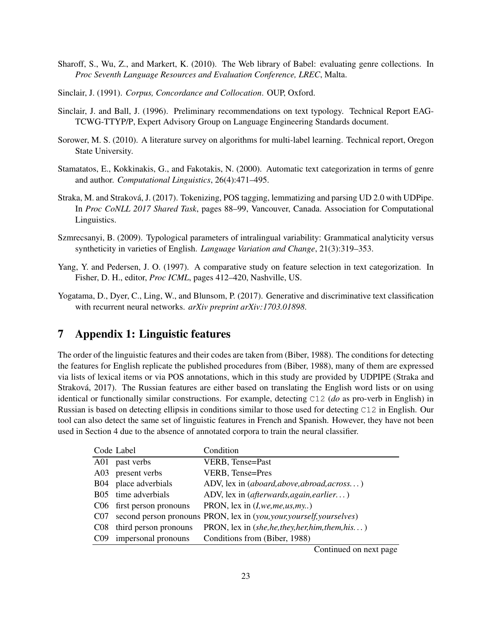- <span id="page-22-3"></span>Sharoff, S., Wu, Z., and Markert, K. (2010). The Web library of Babel: evaluating genre collections. In *Proc Seventh Language Resources and Evaluation Conference, LREC*, Malta.
- <span id="page-22-0"></span>Sinclair, J. (1991). *Corpus, Concordance and Collocation*. OUP, Oxford.
- <span id="page-22-2"></span>Sinclair, J. and Ball, J. (1996). Preliminary recommendations on text typology. Technical Report EAG-TCWG-TTYP/P, Expert Advisory Group on Language Engineering Standards document.
- <span id="page-22-7"></span>Sorower, M. S. (2010). A literature survey on algorithms for multi-label learning. Technical report, Oregon State University.
- <span id="page-22-4"></span>Stamatatos, E., Kokkinakis, G., and Fakotakis, N. (2000). Automatic text categorization in terms of genre and author. *Computational Linguistics*, 26(4):471–495.
- <span id="page-22-6"></span>Straka, M. and Straková, J. (2017). Tokenizing, POS tagging, lemmatizing and parsing UD 2.0 with UDPipe. In *Proc CoNLL 2017 Shared Task*, pages 88–99, Vancouver, Canada. Association for Computational Linguistics.
- <span id="page-22-1"></span>Szmrecsanyi, B. (2009). Typological parameters of intralingual variability: Grammatical analyticity versus syntheticity in varieties of English. *Language Variation and Change*, 21(3):319–353.
- <span id="page-22-8"></span>Yang, Y. and Pedersen, J. O. (1997). A comparative study on feature selection in text categorization. In Fisher, D. H., editor, *Proc ICML*, pages 412–420, Nashville, US.
- <span id="page-22-5"></span>Yogatama, D., Dyer, C., Ling, W., and Blunsom, P. (2017). Generative and discriminative text classification with recurrent neural networks. *arXiv preprint arXiv:1703.01898*.

# 7 Appendix 1: Linguistic features

The order of the linguistic features and their codes are taken from [\(Biber, 1988\)](#page-20-7). The conditions for detecting the features for English replicate the published procedures from [\(Biber, 1988\)](#page-20-7), many of them are expressed via lists of lexical items or via POS annotations, which in this study are provided by UDPIPE [\(Straka and](#page-22-6) [Straková, 2017\)](#page-22-6). The Russian features are either based on translating the English word lists or on using identical or functionally similar constructions. For example, detecting C12 (*do* as pro-verb in English) in Russian is based on detecting ellipsis in conditions similar to those used for detecting C12 in English. Our tool can also detect the same set of linguistic features in French and Spanish. However, they have not been used in Section 4 due to the absence of annotated corpora to train the neural classifier.

|                 | Code Label                | Condition                                                             |
|-----------------|---------------------------|-----------------------------------------------------------------------|
| A01             | past verbs                | VERB, Tense=Past                                                      |
| A03             | present verbs             | VERB, Tense=Pres                                                      |
|                 | B04 place adverbials      | ADV, lex in (aboard, above, abroad, across)                           |
|                 | B05 time adverbials       | ADV, lex in (afterwards, again, earlier)                              |
|                 | C06 first person pronouns | PRON, lex in $(I, we, me, us, my.)$                                   |
| C <sub>07</sub> |                           | second person pronouns PRON, lex in (you, your, yourself, yourselves) |
| CO8             | third person pronouns     | PRON, lex in (she, he, they, her, him, them, his)                     |
| C <sub>09</sub> | impersonal pronouns       | Conditions from (Biber, 1988)                                         |

Continued on next page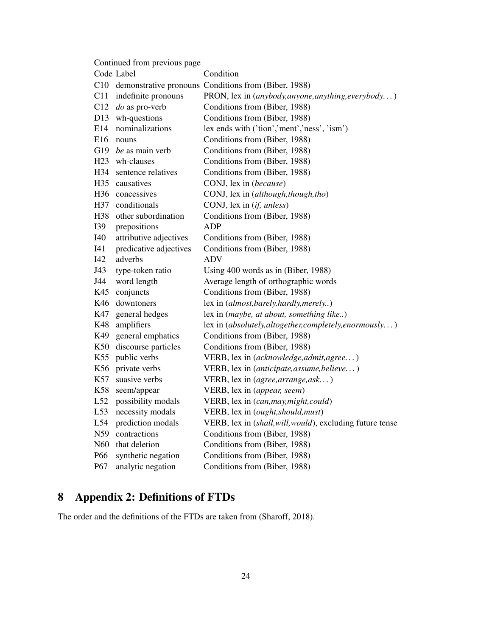Continued from previous page

|                 | Code Label             | Condition                                                 |
|-----------------|------------------------|-----------------------------------------------------------|
| C10             |                        | demonstrative pronouns Conditions from (Biber, 1988)      |
| C11             | indefinite pronouns    | PRON, lex in (anybody, anyone, anything, everybody)       |
| C12             | $do$ as pro-verb       | Conditions from (Biber, 1988)                             |
| D13             | wh-questions           | Conditions from (Biber, 1988)                             |
| E14             | nominalizations        | lex ends with ('tion','ment','ness', 'ism')               |
| E16             | nouns                  | Conditions from (Biber, 1988)                             |
| G19             | be as main verb        | Conditions from (Biber, 1988)                             |
| H23             | wh-clauses             | Conditions from (Biber, 1988)                             |
| H34             | sentence relatives     | Conditions from (Biber, 1988)                             |
| H35             | causatives             | CONJ, lex in (because)                                    |
| H <sub>36</sub> | concessives            | CONJ, lex in (although, though, tho)                      |
| H37             | conditionals           | CONJ, lex in (if, unless)                                 |
| H38             | other subordination    | Conditions from (Biber, 1988)                             |
| I39             | prepositions           | ADP                                                       |
| I40             | attributive adjectives | Conditions from (Biber, 1988)                             |
| I41             | predicative adjectives | Conditions from (Biber, 1988)                             |
| I42             | adverbs                | <b>ADV</b>                                                |
| J43             | type-token ratio       | Using 400 words as in (Biber, 1988)                       |
| J44             | word length            | Average length of orthographic words                      |
| K45             | conjuncts              | Conditions from (Biber, 1988)                             |
| K46             | downtoners             | lex in (almost, barely, hardly, merely)                   |
| K47             | general hedges         | lex in (maybe, at about, something like)                  |
| K48             | amplifiers             | lex in (absolutely, altogether, completely, enormously)   |
| K49             | general emphatics      | Conditions from (Biber, 1988)                             |
| K50             | discourse particles    | Conditions from (Biber, 1988)                             |
| K55             | public verbs           | VERB, lex in (acknowledge, admit, agree)                  |
| K56             | private verbs          | VERB, lex in (anticipate, assume, believe)                |
| K57             | suasive verbs          | VERB, lex in (agree, arrange, ask)                        |
| K58             | seem/appear            | VERB, lex in (appear, seem)                               |
| L52             | possibility modals     | VERB, lex in (can, may, might, could)                     |
| L53             | necessity modals       | VERB, lex in (ought, should, must)                        |
| L54             | prediction modals      | VERB, lex in (shall, will, would), excluding future tense |
| N59             | contractions           | Conditions from (Biber, 1988)                             |
| N <sub>60</sub> | that deletion          | Conditions from (Biber, 1988)                             |
| P66             | synthetic negation     | Conditions from (Biber, 1988)                             |
| P67             | analytic negation      | Conditions from (Biber, 1988)                             |

# 8 Appendix 2: Definitions of FTDs

The order and the definitions of the FTDs are taken from [\(Sharoff, 2018\)](#page-21-5).